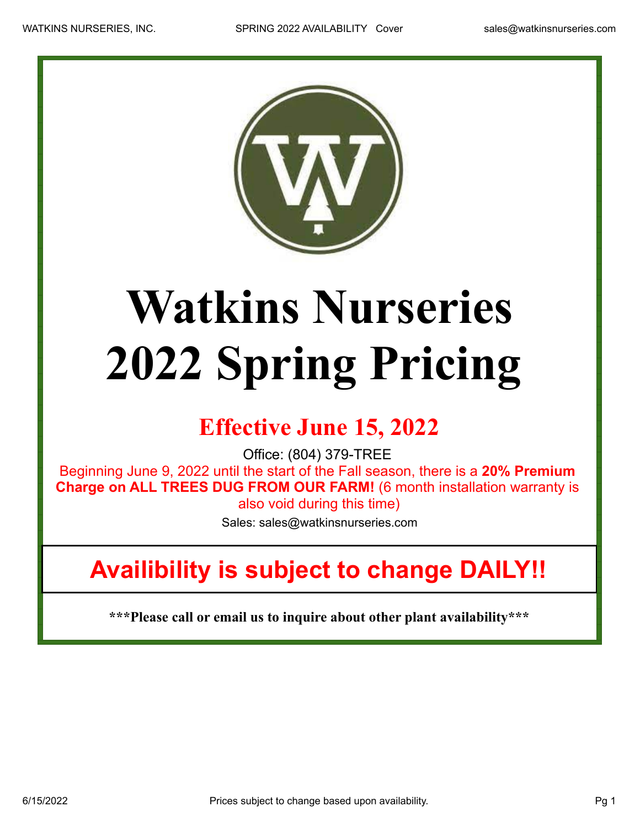

## **Watkins Nurseries 2022 Spring Pricing**

## **Effective June 15, 2022**

Office: (804) 379-TREE

Beginning June 9, 2022 until the start of the Fall season, there is a **20% Premium Charge on ALL TREES DUG FROM OUR FARM!** (6 month installation warranty is also void during this time)

Sales: sales@watkinsnurseries.com

## **Availibility is subject to change DAILY!!**

**\*\*\*Please call or email us to inquire about other plant availability\*\*\***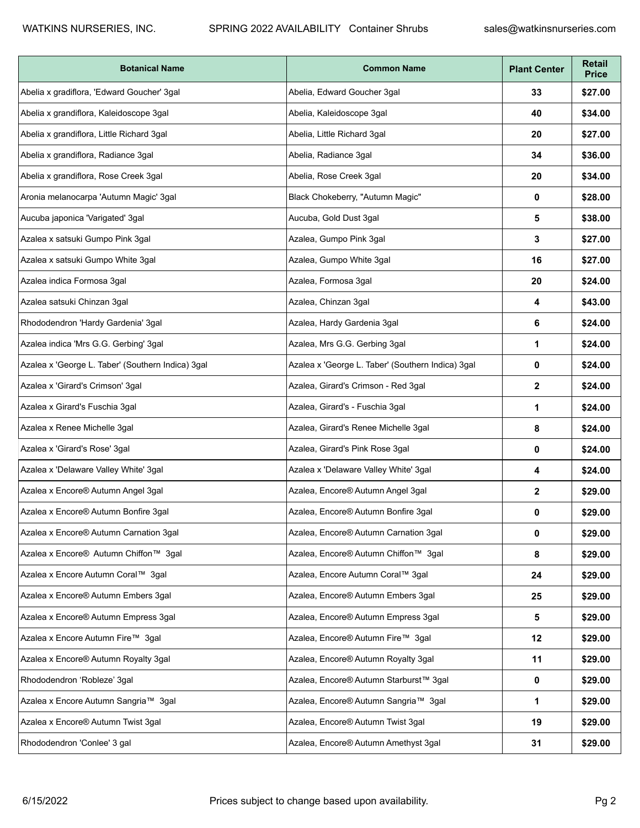| <b>Botanical Name</b>                             | <b>Common Name</b>                                | <b>Plant Center</b> | <b>Retail</b><br><b>Price</b> |
|---------------------------------------------------|---------------------------------------------------|---------------------|-------------------------------|
| Abelia x gradiflora, 'Edward Goucher' 3gal        | Abelia, Edward Goucher 3gal                       | 33                  | \$27.00                       |
| Abelia x grandiflora, Kaleidoscope 3gal           | Abelia, Kaleidoscope 3gal                         | 40                  | \$34.00                       |
| Abelia x grandiflora, Little Richard 3gal         | Abelia, Little Richard 3gal                       | 20                  | \$27.00                       |
| Abelia x grandiflora, Radiance 3gal               | Abelia, Radiance 3gal                             | 34                  | \$36.00                       |
| Abelia x grandiflora, Rose Creek 3gal             | Abelia, Rose Creek 3gal                           | 20                  | \$34.00                       |
| Aronia melanocarpa 'Autumn Magic' 3gal            | Black Chokeberry, "Autumn Magic"                  | 0                   | \$28.00                       |
| Aucuba japonica 'Varigated' 3gal                  | Aucuba, Gold Dust 3gal                            | 5                   | \$38.00                       |
| Azalea x satsuki Gumpo Pink 3gal                  | Azalea, Gumpo Pink 3gal                           | 3                   | \$27.00                       |
| Azalea x satsuki Gumpo White 3gal                 | Azalea, Gumpo White 3gal                          | 16                  | \$27.00                       |
| Azalea indica Formosa 3gal                        | Azalea, Formosa 3gal                              | 20                  | \$24.00                       |
| Azalea satsuki Chinzan 3gal                       | Azalea, Chinzan 3gal                              | 4                   | \$43.00                       |
| Rhododendron 'Hardy Gardenia' 3gal                | Azalea, Hardy Gardenia 3gal                       | 6                   | \$24.00                       |
| Azalea indica 'Mrs G.G. Gerbing' 3gal             | Azalea, Mrs G.G. Gerbing 3gal                     | 1                   | \$24.00                       |
| Azalea x 'George L. Taber' (Southern Indica) 3gal | Azalea x 'George L. Taber' (Southern Indica) 3gal | 0                   | \$24.00                       |
| Azalea x 'Girard's Crimson' 3gal                  | Azalea, Girard's Crimson - Red 3gal               | $\mathbf{2}$        | \$24.00                       |
| Azalea x Girard's Fuschia 3gal                    | Azalea, Girard's - Fuschia 3gal                   | 1                   | \$24.00                       |
| Azalea x Renee Michelle 3gal                      | Azalea, Girard's Renee Michelle 3gal              | 8                   | \$24.00                       |
| Azalea x 'Girard's Rose' 3gal                     | Azalea, Girard's Pink Rose 3gal                   | 0                   | \$24.00                       |
| Azalea x 'Delaware Valley White' 3gal             | Azalea x 'Delaware Valley White' 3gal             | 4                   | \$24.00                       |
| Azalea x Encore® Autumn Angel 3gal                | Azalea, Encore® Autumn Angel 3gal                 | 2                   | \$29.00                       |
| Azalea x Encore® Autumn Bonfire 3gal              | Azalea, Encore® Autumn Bonfire 3gal               | 0                   | \$29.00                       |
| Azalea x Encore® Autumn Carnation 3gal            | Azalea, Encore® Autumn Carnation 3gal             | 0                   | \$29.00                       |
| Azalea x Encore® Autumn Chiffon™ 3gal             | Azalea, Encore® Autumn Chiffon™ 3gal              | 8                   | \$29.00                       |
| Azalea x Encore Autumn Coral™ 3gal                | Azalea, Encore Autumn Coral™ 3gal                 | 24                  | \$29.00                       |
| Azalea x Encore® Autumn Embers 3gal               | Azalea, Encore® Autumn Embers 3gal                | 25                  | \$29.00                       |
| Azalea x Encore® Autumn Empress 3gal              | Azalea, Encore® Autumn Empress 3gal               | 5                   | \$29.00                       |
| Azalea x Encore Autumn Fire™ 3gal                 | Azalea, Encore® Autumn Fire™ 3gal                 | 12                  | \$29.00                       |
| Azalea x Encore® Autumn Royalty 3gal              | Azalea, Encore® Autumn Royalty 3gal               | 11                  | \$29.00                       |
| Rhododendron 'Robleze' 3gal                       | Azalea, Encore® Autumn Starburst™ 3gal            | 0                   | \$29.00                       |
| Azalea x Encore Autumn Sangria™ 3gal              | Azalea, Encore® Autumn Sangria™ 3gal              | 1                   | \$29.00                       |
| Azalea x Encore® Autumn Twist 3gal                | Azalea, Encore® Autumn Twist 3gal                 | 19                  | \$29.00                       |
| Rhododendron 'Conlee' 3 gal                       | Azalea, Encore® Autumn Amethyst 3gal              | 31                  | \$29.00                       |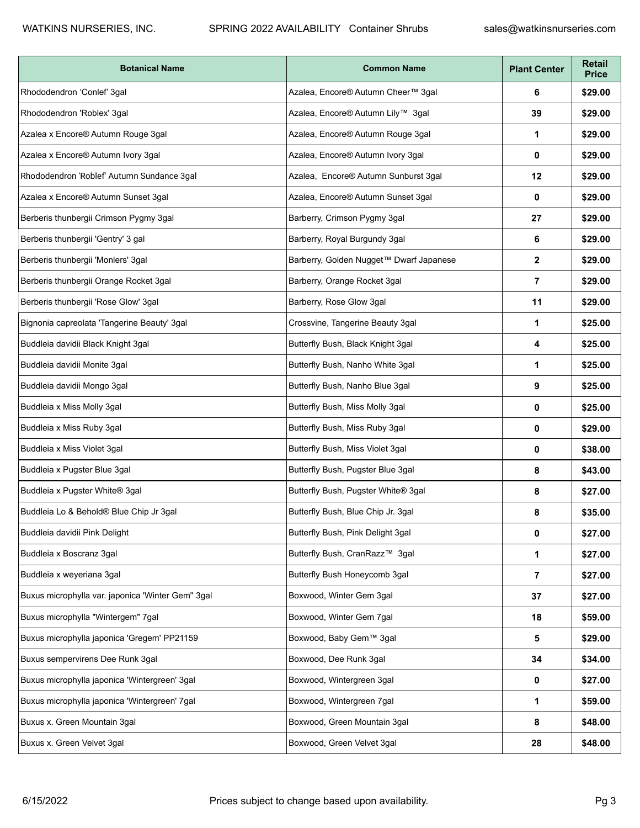| <b>Botanical Name</b>                             | <b>Common Name</b>                      | <b>Plant Center</b> | <b>Retail</b><br><b>Price</b> |
|---------------------------------------------------|-----------------------------------------|---------------------|-------------------------------|
| Rhododendron 'Conlef' 3gal                        | Azalea, Encore® Autumn Cheer™ 3gal      | 6                   | \$29.00                       |
| Rhododendron 'Roblex' 3gal                        | Azalea, Encore® Autumn Lily™ 3gal       | 39                  | \$29.00                       |
| Azalea x Encore® Autumn Rouge 3gal                | Azalea, Encore® Autumn Rouge 3gal       | 1                   | \$29.00                       |
| Azalea x Encore® Autumn Ivory 3gal                | Azalea, Encore® Autumn Ivory 3gal       | 0                   | \$29.00                       |
| Rhododendron 'Roblef' Autumn Sundance 3gal        | Azalea, Encore® Autumn Sunburst 3gal    | 12                  | \$29.00                       |
| Azalea x Encore® Autumn Sunset 3gal               | Azalea, Encore® Autumn Sunset 3gal      | 0                   | \$29.00                       |
| Berberis thunbergii Crimson Pygmy 3gal            | Barberry, Crimson Pygmy 3gal            | 27                  | \$29.00                       |
| Berberis thunbergii 'Gentry' 3 gal                | Barberry, Royal Burgundy 3gal           | 6                   | \$29.00                       |
| Berberis thunbergii 'Monlers' 3gal                | Barberry, Golden Nugget™ Dwarf Japanese | $\mathbf{2}$        | \$29.00                       |
| Berberis thunbergii Orange Rocket 3gal            | Barberry, Orange Rocket 3gal            | $\overline{7}$      | \$29.00                       |
| Berberis thunbergii 'Rose Glow' 3gal              | Barberry, Rose Glow 3gal                | 11                  | \$29.00                       |
| Bignonia capreolata 'Tangerine Beauty' 3gal       | Crossvine, Tangerine Beauty 3gal        | 1                   | \$25.00                       |
| Buddleia davidii Black Knight 3gal                | Butterfly Bush, Black Knight 3gal       | 4                   | \$25.00                       |
| Buddleia davidii Monite 3gal                      | Butterfly Bush, Nanho White 3gal        | 1                   | \$25.00                       |
| Buddleia davidii Mongo 3gal                       | Butterfly Bush, Nanho Blue 3gal         | 9                   | \$25.00                       |
| Buddleia x Miss Molly 3gal                        | Butterfly Bush, Miss Molly 3gal         | 0                   | \$25.00                       |
| Buddleia x Miss Ruby 3gal                         | Butterfly Bush, Miss Ruby 3gal          | 0                   | \$29.00                       |
| Buddleia x Miss Violet 3gal                       | Butterfly Bush, Miss Violet 3gal        | 0                   | \$38.00                       |
| Buddleia x Pugster Blue 3gal                      | Butterfly Bush, Pugster Blue 3gal       | 8                   | \$43.00                       |
| Buddleia x Pugster White® 3gal                    | Butterfly Bush, Pugster White® 3gal     | 8                   | \$27.00                       |
| Buddleia Lo & Behold® Blue Chip Jr 3gal           | Butterfly Bush, Blue Chip Jr. 3gal      | 8                   | \$35.00                       |
| Buddleia davidii Pink Delight                     | Butterfly Bush, Pink Delight 3gal       | 0                   | \$27.00                       |
| Buddleia x Boscranz 3gal                          | Butterfly Bush, CranRazz™ 3gal          | 1                   | \$27.00                       |
| Buddleia x weyeriana 3gal                         | Butterfly Bush Honeycomb 3gal           | $\overline{7}$      | \$27.00                       |
| Buxus microphylla var. japonica 'Winter Gem" 3gal | Boxwood, Winter Gem 3gal                | 37                  | \$27.00                       |
| Buxus microphylla "Wintergem" 7gal                | Boxwood, Winter Gem 7gal                | 18                  | \$59.00                       |
| Buxus microphylla japonica 'Gregem' PP21159       | Boxwood, Baby Gem™ 3gal                 | 5                   | \$29.00                       |
| Buxus sempervirens Dee Runk 3gal                  | Boxwood, Dee Runk 3gal                  | 34                  | \$34.00                       |
| Buxus microphylla japonica 'Wintergreen' 3gal     | Boxwood, Wintergreen 3gal               | 0                   | \$27.00                       |
| Buxus microphylla japonica 'Wintergreen' 7gal     | Boxwood, Wintergreen 7gal               | 1                   | \$59.00                       |
| Buxus x. Green Mountain 3gal                      | Boxwood, Green Mountain 3gal            | 8                   | \$48.00                       |
| Buxus x. Green Velvet 3gal                        | Boxwood, Green Velvet 3gal              | 28                  | \$48.00                       |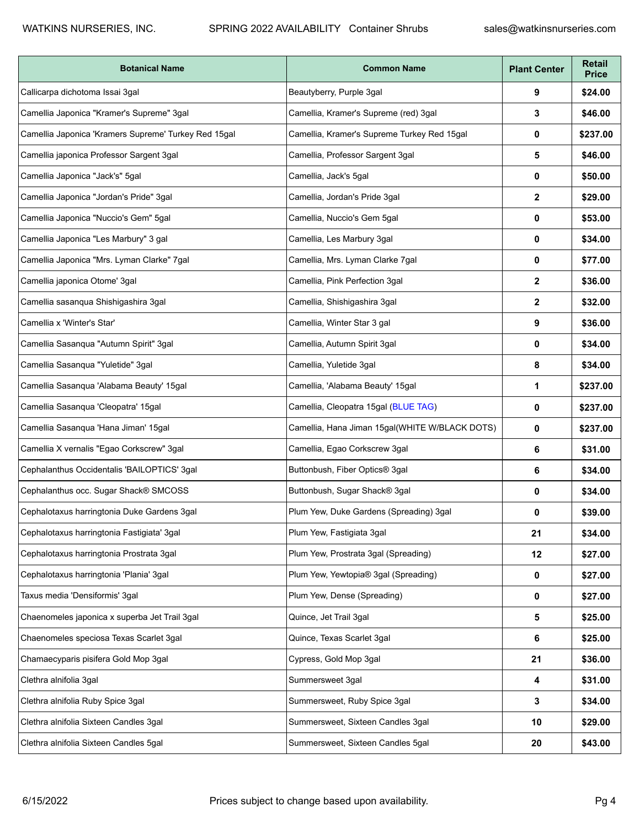| <b>Botanical Name</b>                                | <b>Common Name</b>                             | <b>Plant Center</b> | Retail<br><b>Price</b> |
|------------------------------------------------------|------------------------------------------------|---------------------|------------------------|
| Callicarpa dichotoma Issai 3gal                      | Beautyberry, Purple 3gal                       | 9                   | \$24.00                |
| Camellia Japonica "Kramer's Supreme" 3gal            | Camellia, Kramer's Supreme (red) 3gal          | 3                   | \$46.00                |
| Camellia Japonica 'Kramers Supreme' Turkey Red 15gal | Camellia, Kramer's Supreme Turkey Red 15gal    | 0                   | \$237.00               |
| Camellia japonica Professor Sargent 3gal             | Camellia, Professor Sargent 3gal               | 5                   | \$46.00                |
| Camellia Japonica "Jack's" 5gal                      | Camellia, Jack's 5gal                          | 0                   | \$50.00                |
| Camellia Japonica "Jordan's Pride" 3gal              | Camellia, Jordan's Pride 3gal                  | $\mathbf{2}$        | \$29.00                |
| Camellia Japonica "Nuccio's Gem" 5gal                | Camellia, Nuccio's Gem 5gal                    | 0                   | \$53.00                |
| Camellia Japonica "Les Marbury" 3 gal                | Camellia, Les Marbury 3gal                     | 0                   | \$34.00                |
| Camellia Japonica "Mrs. Lyman Clarke" 7gal           | Camellia, Mrs. Lyman Clarke 7gal               | 0                   | \$77.00                |
| Camellia japonica Otome' 3gal                        | Camellia, Pink Perfection 3gal                 | $\mathbf{2}$        | \$36.00                |
| Camellia sasanqua Shishigashira 3gal                 | Camellia, Shishigashira 3gal                   | 2                   | \$32.00                |
| Camellia x 'Winter's Star'                           | Camellia, Winter Star 3 gal                    | 9                   | \$36.00                |
| Camellia Sasanqua "Autumn Spirit" 3gal               | Camellia, Autumn Spirit 3gal                   | 0                   | \$34.00                |
| Camellia Sasanqua "Yuletide" 3gal                    | Camellia, Yuletide 3gal                        | 8                   | \$34.00                |
| Camellia Sasanqua 'Alabama Beauty' 15gal             | Camellia, 'Alabama Beauty' 15gal               | 1                   | \$237.00               |
| Camellia Sasanqua 'Cleopatra' 15gal                  | Camellia, Cleopatra 15gal (BLUE TAG)           | 0                   | \$237.00               |
| Camellia Sasanqua 'Hana Jiman' 15gal                 | Camellia, Hana Jiman 15gal(WHITE W/BLACK DOTS) | 0                   | \$237.00               |
| Camellia X vernalis "Egao Corkscrew" 3gal            | Camellia, Egao Corkscrew 3gal                  | 6                   | \$31.00                |
| Cephalanthus Occidentalis 'BAILOPTICS' 3gal          | Buttonbush, Fiber Optics® 3gal                 | 6                   | \$34.00                |
| Cephalanthus occ. Sugar Shack® SMCOSS                | Buttonbush, Sugar Shack® 3gal                  | 0                   | \$34.00                |
| Cephalotaxus harringtonia Duke Gardens 3gal          | Plum Yew, Duke Gardens (Spreading) 3gal        | 0                   | \$39.00                |
| Cephalotaxus harringtonia Fastigiata' 3gal           | Plum Yew, Fastigiata 3gal                      | 21                  | \$34.00                |
| Cephalotaxus harringtonia Prostrata 3gal             | Plum Yew, Prostrata 3gal (Spreading)           | 12                  | \$27.00                |
| Cephalotaxus harringtonia 'Plania' 3gal              | Plum Yew, Yewtopia® 3gal (Spreading)           | 0                   | \$27.00                |
| Taxus media 'Densiformis' 3gal                       | Plum Yew, Dense (Spreading)                    | $\bf{0}$            | \$27.00                |
| Chaenomeles japonica x superba Jet Trail 3gal        | Quince, Jet Trail 3gal                         | 5                   | \$25.00                |
| Chaenomeles speciosa Texas Scarlet 3gal              | Quince, Texas Scarlet 3gal                     | 6                   | \$25.00                |
| Chamaecyparis pisifera Gold Mop 3gal                 | Cypress, Gold Mop 3gal                         | 21                  | \$36.00                |
| Clethra alnifolia 3gal                               | Summersweet 3gal                               | 4                   | \$31.00                |
| Clethra alnifolia Ruby Spice 3gal                    | Summersweet, Ruby Spice 3gal                   | 3                   | \$34.00                |
| Clethra alnifolia Sixteen Candles 3gal               | Summersweet, Sixteen Candles 3gal              | 10                  | \$29.00                |
| Clethra alnifolia Sixteen Candles 5gal               | Summersweet, Sixteen Candles 5gal              | 20                  | \$43.00                |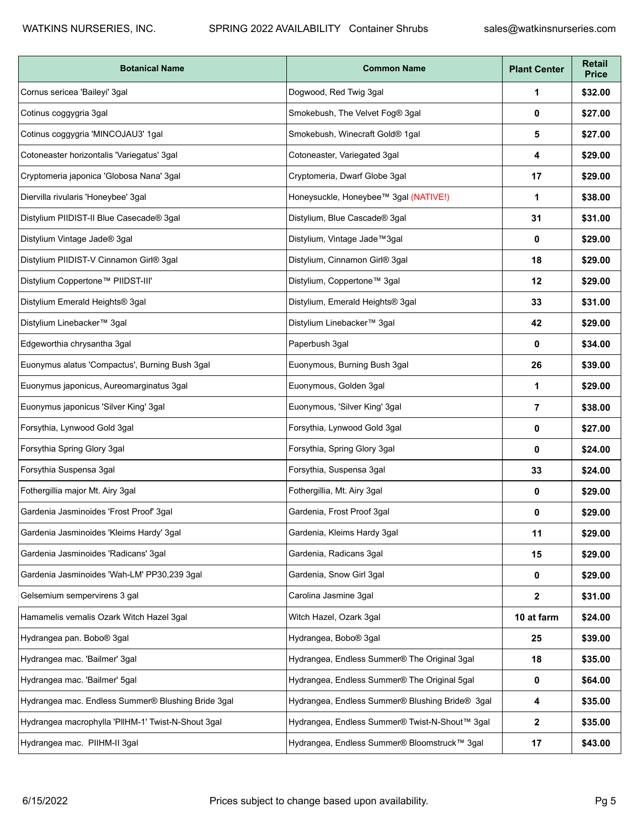| <b>Botanical Name</b>                              | <b>Common Name</b>                              | <b>Plant Center</b> | <b>Retail</b><br><b>Price</b> |
|----------------------------------------------------|-------------------------------------------------|---------------------|-------------------------------|
| Cornus sericea 'Baileyi' 3gal                      | Dogwood, Red Twig 3gal                          | 1                   | \$32.00                       |
| Cotinus coggygria 3gal                             | Smokebush, The Velvet Fog® 3gal                 | 0                   | \$27.00                       |
| Cotinus coggygria 'MINCOJAU3' 1gal                 | Smokebush, Winecraft Gold® 1gal                 | 5                   | \$27.00                       |
| Cotoneaster horizontalis 'Variegatus' 3gal         | Cotoneaster, Variegated 3gal                    | 4                   | \$29.00                       |
| Cryptomeria japonica 'Globosa Nana' 3gal           | Cryptomeria, Dwarf Globe 3gal                   | 17                  | \$29.00                       |
| Diervilla rivularis 'Honeybee' 3gal                | Honeysuckle, Honeybee™ 3gal (NATIVE!)           | 1                   | \$38.00                       |
| Distylium PIIDIST-II Blue Casecade® 3gal           | Distylium, Blue Cascade® 3gal                   | 31                  | \$31.00                       |
| Distylium Vintage Jade® 3gal                       | Distylium, Vintage Jade™3gal                    | 0                   | \$29.00                       |
| Distylium PIIDIST-V Cinnamon Girl® 3gal            | Distylium, Cinnamon Girl® 3gal                  | 18                  | \$29.00                       |
| Distylium Coppertone™ PIIDST-III'                  | Distylium, Coppertone™ 3gal                     | 12                  | \$29.00                       |
| Distylium Emerald Heights® 3gal                    | Distylium, Emerald Heights® 3gal                | 33                  | \$31.00                       |
| Distylium Linebacker™ 3gal                         | Distylium Linebacker™ 3gal                      | 42                  | \$29.00                       |
| Edgeworthia chrysantha 3gal                        | Paperbush 3gal                                  | 0                   | \$34.00                       |
| Euonymus alatus 'Compactus', Burning Bush 3gal     | Euonymous, Burning Bush 3gal                    | 26                  | \$39.00                       |
| Euonymus japonicus, Aureomarginatus 3gal           | Euonymous, Golden 3gal                          | 1                   | \$29.00                       |
| Euonymus japonicus 'Silver King' 3gal              | Euonymous, 'Silver King' 3gal                   | $\overline{7}$      | \$38.00                       |
| Forsythia, Lynwood Gold 3gal                       | Forsythia, Lynwood Gold 3gal                    | 0                   | \$27.00                       |
| Forsythia Spring Glory 3gal                        | Forsythia, Spring Glory 3gal                    | 0                   | \$24.00                       |
| Forsythia Suspensa 3gal                            | Forsythia, Suspensa 3gal                        | 33                  | \$24.00                       |
| Fothergillia major Mt. Airy 3gal                   | Fothergillia, Mt. Airy 3gal                     | 0                   | \$29.00                       |
| Gardenia Jasminoides 'Frost Proof' 3gal            | Gardenia, Frost Proof 3gal                      | 0                   | \$29.00                       |
| Gardenia Jasminoides 'Kleims Hardy' 3gal           | Gardenia, Kleims Hardy 3gal                     | 11                  | \$29.00                       |
| Gardenia Jasminoides 'Radicans' 3gal               | Gardenia, Radicans 3gal                         | 15                  | \$29.00                       |
| Gardenia Jasminoides 'Wah-LM' PP30,239 3gal        | Gardenia, Snow Girl 3gal                        | 0                   | \$29.00                       |
| Gelsemium sempervirens 3 gal                       | Carolina Jasmine 3gal                           | $\mathbf{2}$        | \$31.00                       |
| Hamamelis vernalis Ozark Witch Hazel 3gal          | Witch Hazel, Ozark 3gal                         | 10 at farm          | \$24.00                       |
| Hydrangea pan. Bobo® 3gal                          | Hydrangea, Bobo® 3gal                           | 25                  | \$39.00                       |
| Hydrangea mac. 'Bailmer' 3gal                      | Hydrangea, Endless Summer® The Original 3gal    | 18                  | \$35.00                       |
| Hydrangea mac. 'Bailmer' 5gal                      | Hydrangea, Endless Summer® The Original 5gal    | 0                   | \$64.00                       |
| Hydrangea mac. Endless Summer® Blushing Bride 3gal | Hydrangea, Endless Summer® Blushing Bride® 3gal | 4                   | \$35.00                       |
| Hydrangea macrophylla 'PllHM-1' Twist-N-Shout 3gal | Hydrangea, Endless Summer® Twist-N-Shout™ 3gal  | $\mathbf{2}$        | \$35.00                       |
| Hydrangea mac. PIIHM-II 3gal                       | Hydrangea, Endless Summer® Bloomstruck™ 3gal    | 17                  | \$43.00                       |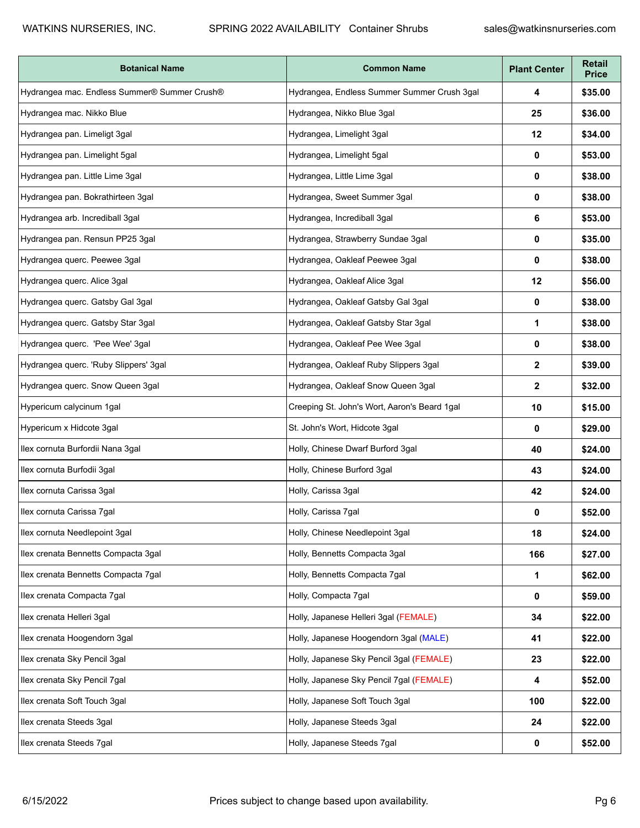| <b>Botanical Name</b>                        | <b>Common Name</b>                           | <b>Plant Center</b> | <b>Retail</b><br><b>Price</b> |
|----------------------------------------------|----------------------------------------------|---------------------|-------------------------------|
| Hydrangea mac. Endless Summer® Summer Crush® | Hydrangea, Endless Summer Summer Crush 3gal  | 4                   | \$35.00                       |
| Hydrangea mac. Nikko Blue                    | Hydrangea, Nikko Blue 3gal                   | 25                  | \$36.00                       |
| Hydrangea pan. Limeligt 3gal                 | Hydrangea, Limelight 3gal                    | 12                  | \$34.00                       |
| Hydrangea pan. Limelight 5gal                | Hydrangea, Limelight 5gal                    | 0                   | \$53.00                       |
| Hydrangea pan. Little Lime 3gal              | Hydrangea, Little Lime 3gal                  | 0                   | \$38.00                       |
| Hydrangea pan. Bokrathirteen 3gal            | Hydrangea, Sweet Summer 3gal                 | 0                   | \$38.00                       |
| Hydrangea arb. Incrediball 3gal              | Hydrangea, Incrediball 3gal                  | 6                   | \$53.00                       |
| Hydrangea pan. Rensun PP25 3gal              | Hydrangea, Strawberry Sundae 3gal            | 0                   | \$35.00                       |
| Hydrangea querc. Peewee 3gal                 | Hydrangea, Oakleaf Peewee 3gal               | 0                   | \$38.00                       |
| Hydrangea querc. Alice 3gal                  | Hydrangea, Oakleaf Alice 3gal                | 12                  | \$56.00                       |
| Hydrangea querc. Gatsby Gal 3gal             | Hydrangea, Oakleaf Gatsby Gal 3gal           | 0                   | \$38.00                       |
| Hydrangea querc. Gatsby Star 3gal            | Hydrangea, Oakleaf Gatsby Star 3gal          | 1                   | \$38.00                       |
| Hydrangea querc. 'Pee Wee' 3gal              | Hydrangea, Oakleaf Pee Wee 3gal              | 0                   | \$38.00                       |
| Hydrangea querc. 'Ruby Slippers' 3gal        | Hydrangea, Oakleaf Ruby Slippers 3gal        | $\mathbf{2}$        | \$39.00                       |
| Hydrangea querc. Snow Queen 3gal             | Hydrangea, Oakleaf Snow Queen 3gal           | $\mathbf{2}$        | \$32.00                       |
| Hypericum calycinum 1gal                     | Creeping St. John's Wort, Aaron's Beard 1gal | 10                  | \$15.00                       |
| Hypericum x Hidcote 3gal                     | St. John's Wort, Hidcote 3gal                | 0                   | \$29.00                       |
| Ilex cornuta Burfordii Nana 3gal             | Holly, Chinese Dwarf Burford 3gal            | 40                  | \$24.00                       |
| Ilex cornuta Burfodii 3gal                   | Holly, Chinese Burford 3gal                  | 43                  | \$24.00                       |
| Ilex cornuta Carissa 3gal                    | Holly, Carissa 3gal                          | 42                  | \$24.00                       |
| Ilex cornuta Carissa 7gal                    | Holly, Carissa 7gal                          | 0                   | \$52.00                       |
| Ilex cornuta Needlepoint 3gal                | Holly, Chinese Needlepoint 3gal              | 18                  | \$24.00                       |
| Ilex crenata Bennetts Compacta 3gal          | Holly, Bennetts Compacta 3gal                | 166                 | \$27.00                       |
| Ilex crenata Bennetts Compacta 7gal          | Holly, Bennetts Compacta 7gal                | 1                   | \$62.00                       |
| Ilex crenata Compacta 7gal                   | Holly, Compacta 7gal                         | 0                   | \$59.00                       |
| Ilex crenata Helleri 3gal                    | Holly, Japanese Helleri 3gal (FEMALE)        | 34                  | \$22.00                       |
| Ilex crenata Hoogendorn 3gal                 | Holly, Japanese Hoogendorn 3gal (MALE)       | 41                  | \$22.00                       |
| Ilex crenata Sky Pencil 3gal                 | Holly, Japanese Sky Pencil 3gal (FEMALE)     | 23                  | \$22.00                       |
| Ilex crenata Sky Pencil 7gal                 | Holly, Japanese Sky Pencil 7gal (FEMALE)     | 4                   | \$52.00                       |
| llex crenata Soft Touch 3gal                 | Holly, Japanese Soft Touch 3gal              | 100                 | \$22.00                       |
| Ilex crenata Steeds 3gal                     | Holly, Japanese Steeds 3gal                  | 24                  | \$22.00                       |
| Ilex crenata Steeds 7gal                     | Holly, Japanese Steeds 7gal                  | 0                   | \$52.00                       |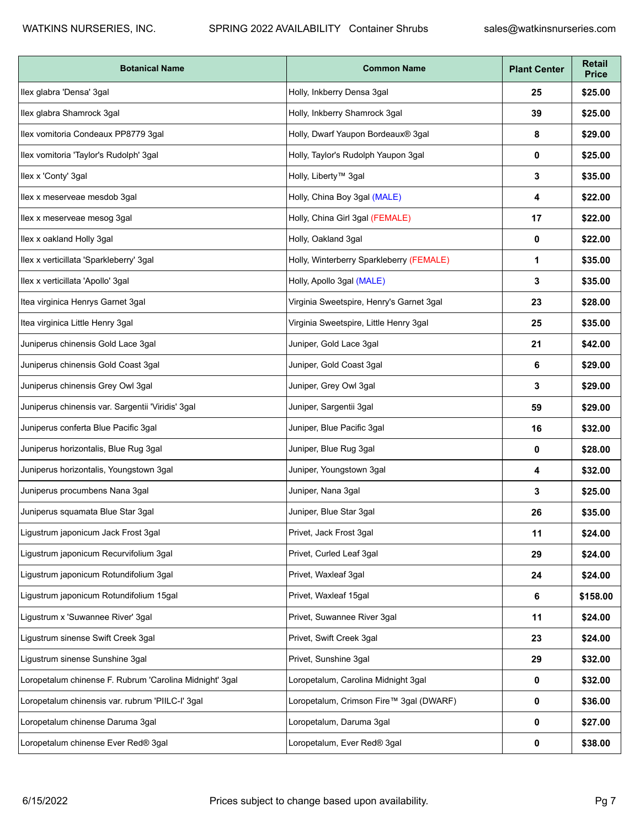| <b>Botanical Name</b>                                   | <b>Common Name</b>                       | <b>Plant Center</b> | <b>Retail</b><br><b>Price</b> |
|---------------------------------------------------------|------------------------------------------|---------------------|-------------------------------|
| Ilex glabra 'Densa' 3gal                                | Holly, Inkberry Densa 3gal               | 25                  | \$25.00                       |
| Ilex glabra Shamrock 3gal                               | Holly, Inkberry Shamrock 3gal            | 39                  | \$25.00                       |
| Ilex vomitoria Condeaux PP8779 3gal                     | Holly, Dwarf Yaupon Bordeaux® 3gal       | 8                   | \$29.00                       |
| Ilex vomitoria 'Taylor's Rudolph' 3gal                  | Holly, Taylor's Rudolph Yaupon 3gal      | 0                   | \$25.00                       |
| Ilex x 'Conty' 3gal                                     | Holly, Liberty <sup>™</sup> 3gal         | 3                   | \$35.00                       |
| Ilex x meserveae mesdob 3gal                            | Holly, China Boy 3gal (MALE)             | 4                   | \$22.00                       |
| llex x meserveae mesog 3gal                             | Holly, China Girl 3gal (FEMALE)          | 17                  | \$22.00                       |
| Ilex x oakland Holly 3gal                               | Holly, Oakland 3gal                      | 0                   | \$22.00                       |
| Ilex x verticillata 'Sparkleberry' 3gal                 | Holly, Winterberry Sparkleberry (FEMALE) | 1                   | \$35.00                       |
| Ilex x verticillata 'Apollo' 3gal                       | Holly, Apollo 3gal (MALE)                | 3                   | \$35.00                       |
| Itea virginica Henrys Garnet 3gal                       | Virginia Sweetspire, Henry's Garnet 3gal | 23                  | \$28.00                       |
| Itea virginica Little Henry 3gal                        | Virginia Sweetspire, Little Henry 3gal   | 25                  | \$35.00                       |
| Juniperus chinensis Gold Lace 3gal                      | Juniper, Gold Lace 3gal                  | 21                  | \$42.00                       |
| Juniperus chinensis Gold Coast 3gal                     | Juniper, Gold Coast 3gal                 | 6                   | \$29.00                       |
| Juniperus chinensis Grey Owl 3gal                       | Juniper, Grey Owl 3gal                   | 3                   | \$29.00                       |
| Juniperus chinensis var. Sargentii 'Viridis' 3gal       | Juniper, Sargentii 3gal                  | 59                  | \$29.00                       |
| Juniperus conferta Blue Pacific 3gal                    | Juniper, Blue Pacific 3gal               | 16                  | \$32.00                       |
| Juniperus horizontalis, Blue Rug 3gal                   | Juniper, Blue Rug 3gal                   | 0                   | \$28.00                       |
| Juniperus horizontalis, Youngstown 3gal                 | Juniper, Youngstown 3gal                 | 4                   | \$32.00                       |
| Juniperus procumbens Nana 3gal                          | Juniper, Nana 3gal                       | 3                   | \$25.00                       |
| Juniperus squamata Blue Star 3gal                       | Juniper, Blue Star 3gal                  | 26                  | \$35.00                       |
| Ligustrum japonicum Jack Frost 3gal                     | Privet, Jack Frost 3gal                  | 11                  | \$24.00                       |
| Ligustrum japonicum Recurvifolium 3gal                  | Privet, Curled Leaf 3qal                 | 29                  | \$24.00                       |
| Ligustrum japonicum Rotundifolium 3gal                  | Privet, Waxleaf 3gal                     | 24                  | \$24.00                       |
| Ligustrum japonicum Rotundifolium 15gal                 | Privet, Waxleaf 15gal                    | 6                   | \$158.00                      |
| Ligustrum x 'Suwannee River' 3gal                       | Privet, Suwannee River 3gal              | 11                  | \$24.00                       |
| Ligustrum sinense Swift Creek 3gal                      | Privet, Swift Creek 3gal                 | 23                  | \$24.00                       |
| Ligustrum sinense Sunshine 3gal                         | Privet, Sunshine 3gal                    | 29                  | \$32.00                       |
| Loropetalum chinense F. Rubrum 'Carolina Midnight' 3gal | Loropetalum, Carolina Midnight 3gal      | 0                   | \$32.00                       |
| Loropetalum chinensis var. rubrum 'PIILC-I' 3gal        | Loropetalum, Crimson Fire™ 3gal (DWARF)  | 0                   | \$36.00                       |
| Loropetalum chinense Daruma 3gal                        | Loropetalum, Daruma 3gal                 | 0                   | \$27.00                       |
| Loropetalum chinense Ever Red® 3gal                     | Loropetalum, Ever Red® 3gal              | 0                   | \$38.00                       |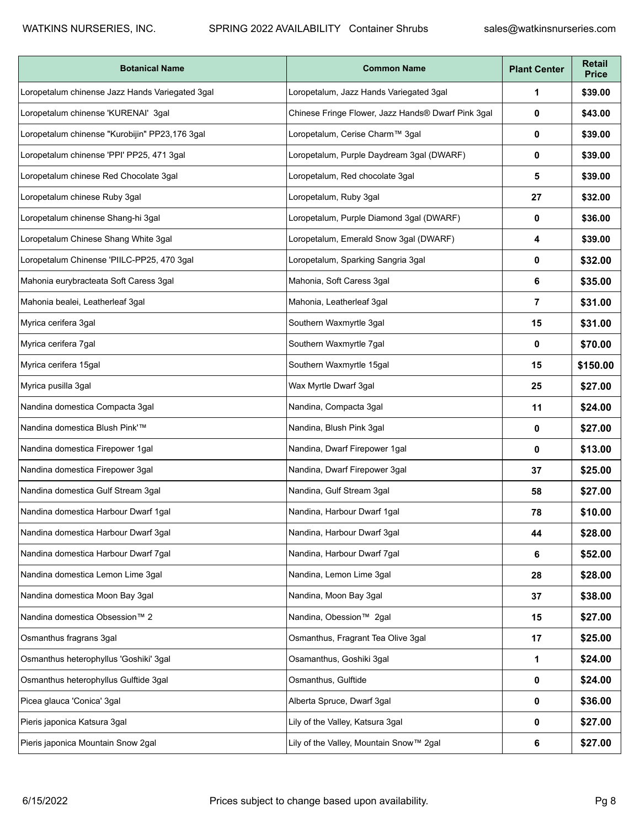| <b>Botanical Name</b>                           | <b>Common Name</b>                                 | <b>Plant Center</b> | <b>Retail</b><br><b>Price</b> |
|-------------------------------------------------|----------------------------------------------------|---------------------|-------------------------------|
| Loropetalum chinense Jazz Hands Variegated 3gal | Loropetalum, Jazz Hands Variegated 3gal            | 1                   | \$39.00                       |
| Loropetalum chinense 'KURENAI' 3gal             | Chinese Fringe Flower, Jazz Hands® Dwarf Pink 3gal | 0                   | \$43.00                       |
| Loropetalum chinense "Kurobijin" PP23,176 3gal  | Loropetalum, Cerise Charm™ 3gal                    | 0                   | \$39.00                       |
| Loropetalum chinense 'PPI' PP25, 471 3gal       | Loropetalum, Purple Daydream 3gal (DWARF)          | 0                   | \$39.00                       |
| Loropetalum chinese Red Chocolate 3gal          | Loropetalum, Red chocolate 3gal                    | 5                   | \$39.00                       |
| Loropetalum chinese Ruby 3gal                   | Loropetalum, Ruby 3gal                             | 27                  | \$32.00                       |
| Loropetalum chinense Shang-hi 3gal              | Loropetalum, Purple Diamond 3gal (DWARF)           | 0                   | \$36.00                       |
| Loropetalum Chinese Shang White 3gal            | Loropetalum, Emerald Snow 3gal (DWARF)             | 4                   | \$39.00                       |
| Loropetalum Chinense 'PIILC-PP25, 470 3gal      | Loropetalum, Sparking Sangria 3gal                 | 0                   | \$32.00                       |
| Mahonia eurybracteata Soft Caress 3gal          | Mahonia, Soft Caress 3gal                          | 6                   | \$35.00                       |
| Mahonia bealei, Leatherleaf 3gal                | Mahonia, Leatherleaf 3gal                          | $\overline{7}$      | \$31.00                       |
| Myrica cerifera 3gal                            | Southern Waxmyrtle 3gal                            | 15                  | \$31.00                       |
| Myrica cerifera 7gal                            | Southern Waxmyrtle 7gal                            | 0                   | \$70.00                       |
| Myrica cerifera 15gal                           | Southern Waxmyrtle 15gal                           | 15                  | \$150.00                      |
| Myrica pusilla 3gal                             | Wax Myrtle Dwarf 3gal                              | 25                  | \$27.00                       |
| Nandina domestica Compacta 3gal                 | Nandina, Compacta 3gal                             | 11                  | \$24.00                       |
| Nandina domestica Blush Pink'™                  | Nandina, Blush Pink 3gal                           | 0                   | \$27.00                       |
| Nandina domestica Firepower 1gal                | Nandina, Dwarf Firepower 1gal                      | 0                   | \$13.00                       |
| Nandina domestica Firepower 3gal                | Nandina, Dwarf Firepower 3gal                      | 37                  | \$25.00                       |
| Nandina domestica Gulf Stream 3gal              | Nandina, Gulf Stream 3gal                          | 58                  | \$27.00                       |
| Nandina domestica Harbour Dwarf 1gal            | Nandina, Harbour Dwarf 1gal                        | 78                  | \$10.00                       |
| Nandina domestica Harbour Dwarf 3gal            | Nandina, Harbour Dwarf 3gal                        | 44                  | \$28.00                       |
| Nandina domestica Harbour Dwarf 7gal            | Nandina, Harbour Dwarf 7gal                        | 6                   | \$52.00                       |
| Nandina domestica Lemon Lime 3gal               | Nandina, Lemon Lime 3gal                           | 28                  | \$28.00                       |
| Nandina domestica Moon Bay 3gal                 | Nandina, Moon Bay 3gal                             | 37                  | \$38.00                       |
| Nandina domestica Obsession™ 2                  | Nandina, Obession™ 2gal                            | 15                  | \$27.00                       |
| Osmanthus fragrans 3gal                         | Osmanthus, Fragrant Tea Olive 3gal                 | 17                  | \$25.00                       |
| Osmanthus heterophyllus 'Goshiki' 3gal          | Osamanthus, Goshiki 3gal                           | 1                   | \$24.00                       |
| Osmanthus heterophyllus Gulftide 3gal           | Osmanthus, Gulftide                                | 0                   | \$24.00                       |
| Picea glauca 'Conica' 3gal                      | Alberta Spruce, Dwarf 3gal                         | 0                   | \$36.00                       |
| Pieris japonica Katsura 3gal                    | Lily of the Valley, Katsura 3gal                   | 0                   | \$27.00                       |
| Pieris japonica Mountain Snow 2gal              | Lily of the Valley, Mountain Snow™ 2gal            | 6                   | \$27.00                       |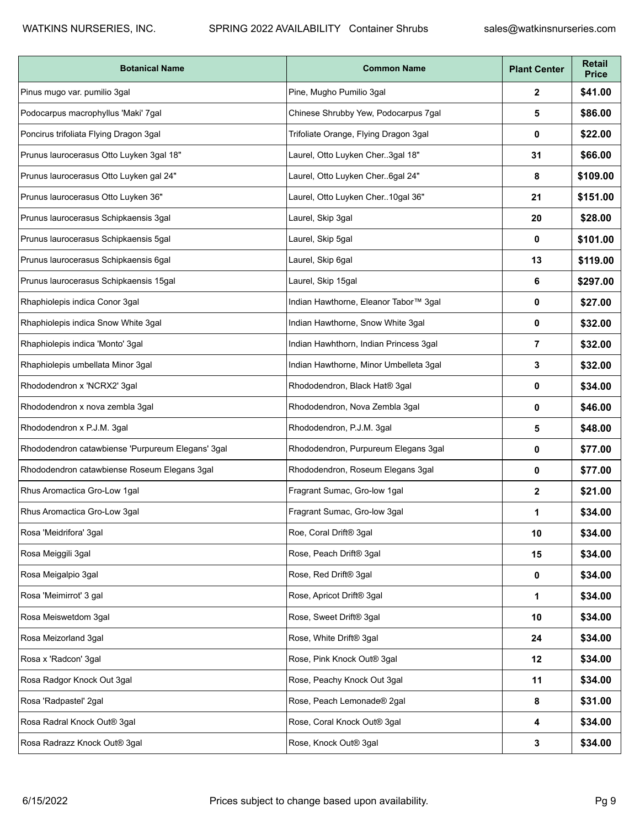| <b>Botanical Name</b>                             | <b>Common Name</b>                     | <b>Plant Center</b> | <b>Retail</b><br><b>Price</b> |
|---------------------------------------------------|----------------------------------------|---------------------|-------------------------------|
| Pinus mugo var. pumilio 3gal                      | Pine, Mugho Pumilio 3gal               | $\mathbf{2}$        | \$41.00                       |
| Podocarpus macrophyllus 'Maki' 7gal               | Chinese Shrubby Yew, Podocarpus 7gal   | 5                   | \$86.00                       |
| Poncirus trifoliata Flying Dragon 3gal            | Trifoliate Orange, Flying Dragon 3gal  | 0                   | \$22.00                       |
| Prunus laurocerasus Otto Luyken 3gal 18"          | Laurel, Otto Luyken Cher3gal 18"       | 31                  | \$66.00                       |
| Prunus laurocerasus Otto Luyken gal 24"           | Laurel, Otto Luyken Cher6gal 24"       | 8                   | \$109.00                      |
| Prunus laurocerasus Otto Luyken 36"               | Laurel, Otto Luyken Cher10gal 36"      | 21                  | \$151.00                      |
| Prunus laurocerasus Schipkaensis 3gal             | Laurel, Skip 3gal                      | 20                  | \$28.00                       |
| Prunus laurocerasus Schipkaensis 5gal             | Laurel, Skip 5gal                      | 0                   | \$101.00                      |
| Prunus laurocerasus Schipkaensis 6gal             | Laurel, Skip 6gal                      | 13                  | \$119.00                      |
| Prunus laurocerasus Schipkaensis 15gal            | Laurel, Skip 15gal                     | 6                   | \$297.00                      |
| Rhaphiolepis indica Conor 3gal                    | Indian Hawthorne, Eleanor Tabor™ 3gal  | 0                   | \$27.00                       |
| Rhaphiolepis indica Snow White 3gal               | Indian Hawthorne, Snow White 3gal      | 0                   | \$32.00                       |
| Rhaphiolepis indica 'Monto' 3gal                  | Indian Hawhthorn, Indian Princess 3gal | 7                   | \$32.00                       |
| Rhaphiolepis umbellata Minor 3gal                 | Indian Hawthorne, Minor Umbelleta 3gal | 3                   | \$32.00                       |
| Rhododendron x 'NCRX2' 3gal                       | Rhododendron, Black Hat® 3gal          | 0                   | \$34.00                       |
| Rhododendron x nova zembla 3gal                   | Rhododendron, Nova Zembla 3gal         | 0                   | \$46.00                       |
| Rhododendron x P.J.M. 3gal                        | Rhododendron, P.J.M. 3gal              | 5                   | \$48.00                       |
| Rhododendron catawbiense 'Purpureum Elegans' 3gal | Rhododendron, Purpureum Elegans 3gal   | 0                   | \$77.00                       |
| Rhododendron catawbiense Roseum Elegans 3gal      | Rhododendron, Roseum Elegans 3gal      | 0                   | \$77.00                       |
| Rhus Aromactica Gro-Low 1gal                      | Fragrant Sumac, Gro-low 1gal           | $\mathbf{2}$        | \$21.00                       |
| Rhus Aromactica Gro-Low 3gal                      | Fragrant Sumac, Gro-low 3gal           | 1                   | \$34.00                       |
| Rosa 'Meidrifora' 3gal                            | Roe, Coral Drift® 3gal                 | 10                  | \$34.00                       |
| Rosa Meiggili 3gal                                | Rose, Peach Drift® 3gal                | 15                  | \$34.00                       |
| Rosa Meigalpio 3gal                               | Rose, Red Drift® 3gal                  | 0                   | \$34.00                       |
| Rosa 'Meimirrot' 3 gal                            | Rose, Apricot Drift® 3gal              | 1                   | \$34.00                       |
| Rosa Meiswetdom 3gal                              | Rose, Sweet Drift® 3gal                | 10                  | \$34.00                       |
| Rosa Meizorland 3gal                              | Rose, White Drift® 3gal                | 24                  | \$34.00                       |
| Rosa x 'Radcon' 3gal                              | Rose, Pink Knock Out® 3gal             | 12                  | \$34.00                       |
| Rosa Radgor Knock Out 3gal                        | Rose, Peachy Knock Out 3gal            | 11                  | \$34.00                       |
| Rosa 'Radpastel' 2gal                             | Rose, Peach Lemonade® 2gal             | 8                   | \$31.00                       |
| Rosa Radral Knock Out® 3gal                       | Rose, Coral Knock Out® 3gal            | 4                   | \$34.00                       |
| Rosa Radrazz Knock Out® 3gal                      | Rose, Knock Out® 3gal                  | 3                   | \$34.00                       |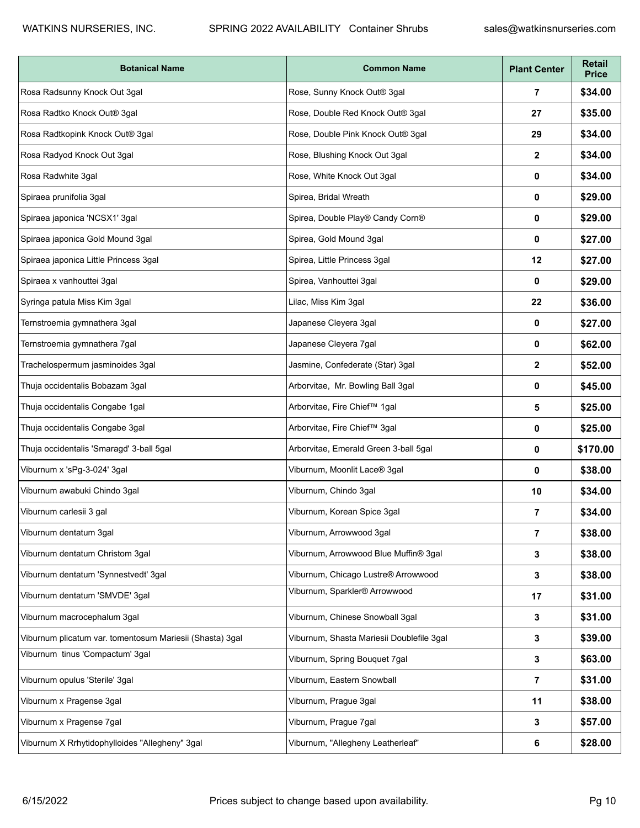| <b>Botanical Name</b>                                    | <b>Common Name</b>                        | <b>Plant Center</b> | <b>Retail</b><br><b>Price</b> |
|----------------------------------------------------------|-------------------------------------------|---------------------|-------------------------------|
| Rosa Radsunny Knock Out 3gal                             | Rose, Sunny Knock Out® 3gal               | 7                   | \$34.00                       |
| Rosa Radtko Knock Out® 3gal                              | Rose, Double Red Knock Out® 3gal          | 27                  | \$35.00                       |
| Rosa Radtkopink Knock Out® 3gal                          | Rose, Double Pink Knock Out® 3gal         | 29                  | \$34.00                       |
| Rosa Radyod Knock Out 3gal                               | Rose, Blushing Knock Out 3gal             | $\mathbf{2}$        | \$34.00                       |
| Rosa Radwhite 3gal                                       | Rose, White Knock Out 3gal                | 0                   | \$34.00                       |
| Spiraea prunifolia 3gal                                  | Spirea, Bridal Wreath                     | 0                   | \$29.00                       |
| Spiraea japonica 'NCSX1' 3gal                            | Spirea, Double Play® Candy Corn®          | 0                   | \$29.00                       |
| Spiraea japonica Gold Mound 3gal                         | Spirea, Gold Mound 3gal                   | 0                   | \$27.00                       |
| Spiraea japonica Little Princess 3gal                    | Spirea, Little Princess 3gal              | 12                  | \$27.00                       |
| Spiraea x vanhouttei 3gal                                | Spirea, Vanhouttei 3gal                   | 0                   | \$29.00                       |
| Syringa patula Miss Kim 3gal                             | Lilac, Miss Kim 3gal                      | 22                  | \$36.00                       |
| Ternstroemia gymnathera 3gal                             | Japanese Cleyera 3gal                     | 0                   | \$27.00                       |
| Ternstroemia gymnathera 7gal                             | Japanese Cleyera 7gal                     | 0                   | \$62.00                       |
| Trachelospermum jasminoides 3gal                         | Jasmine, Confederate (Star) 3gal          | $\mathbf{2}$        | \$52.00                       |
| Thuja occidentalis Bobazam 3gal                          | Arborvitae, Mr. Bowling Ball 3gal         | 0                   | \$45.00                       |
| Thuja occidentalis Congabe 1gal                          | Arborvitae, Fire Chief™ 1gal              | 5                   | \$25.00                       |
| Thuja occidentalis Congabe 3gal                          | Arborvitae, Fire Chief™ 3gal              | 0                   | \$25.00                       |
| Thuja occidentalis 'Smaragd' 3-ball 5gal                 | Arborvitae, Emerald Green 3-ball 5gal     | 0                   | \$170.00                      |
| Viburnum x 'sPg-3-024' 3gal                              | Viburnum, Moonlit Lace® 3gal              | 0                   | \$38.00                       |
| Viburnum awabuki Chindo 3gal                             | Viburnum, Chindo 3gal                     | 10                  | \$34.00                       |
| Viburnum carlesii 3 gal                                  | Viburnum, Korean Spice 3gal               | 7                   | \$34.00                       |
| Viburnum dentatum 3gal                                   | Viburnum, Arrowwood 3gal                  | $\overline{7}$      | \$38.00                       |
| Viburnum dentatum Christom 3gal                          | Viburnum, Arrowwood Blue Muffin® 3gal     | 3                   | \$38.00                       |
| Viburnum dentatum 'Synnestvedt' 3gal                     | Viburnum, Chicago Lustre® Arrowwood       | 3                   | \$38.00                       |
| Viburnum dentatum 'SMVDE' 3gal                           | Viburnum, Sparkler® Arrowwood             | 17                  | \$31.00                       |
| Viburnum macrocephalum 3gal                              | Viburnum, Chinese Snowball 3gal           | 3                   | \$31.00                       |
| Viburnum plicatum var. tomentosum Mariesii (Shasta) 3gal | Viburnum, Shasta Mariesii Doublefile 3gal | 3                   | \$39.00                       |
| Viburnum tinus 'Compactum' 3gal                          | Viburnum, Spring Bouquet 7gal             | 3                   | \$63.00                       |
| Viburnum opulus 'Sterile' 3gal                           | Viburnum, Eastern Snowball                | $\overline{7}$      | \$31.00                       |
| Viburnum x Pragense 3gal                                 | Viburnum, Prague 3gal                     | 11                  | \$38.00                       |
| Viburnum x Pragense 7gal                                 | Viburnum, Prague 7gal                     | 3                   | \$57.00                       |
| Viburnum X Rrhytidophylloides "Allegheny" 3gal           | Viburnum, "Allegheny Leatherleaf"         | 6                   | \$28.00                       |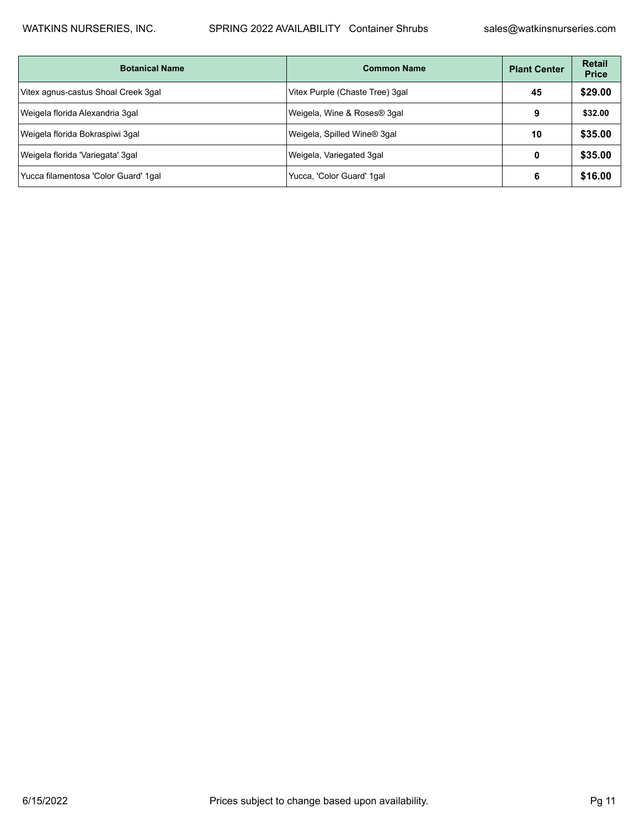| <b>Botanical Name</b>                | <b>Common Name</b>              | <b>Plant Center</b> | <b>Retail</b><br><b>Price</b> |
|--------------------------------------|---------------------------------|---------------------|-------------------------------|
| Vitex agnus-castus Shoal Creek 3gal  | Vitex Purple (Chaste Tree) 3gal | 45                  | \$29.00                       |
| Weigela florida Alexandria 3gal      | Weigela, Wine & Roses® 3gal     | 9                   | \$32.00                       |
| Weigela florida Bokraspiwi 3gal      | Weigela, Spilled Wine® 3gal     | 10                  | \$35.00                       |
| Weigela florida 'Variegata' 3gal     | Weigela, Variegated 3gal        | 0                   | \$35.00                       |
| Yucca filamentosa 'Color Guard' 1gal | Yucca, 'Color Guard' 1gal       | 6                   | \$16.00                       |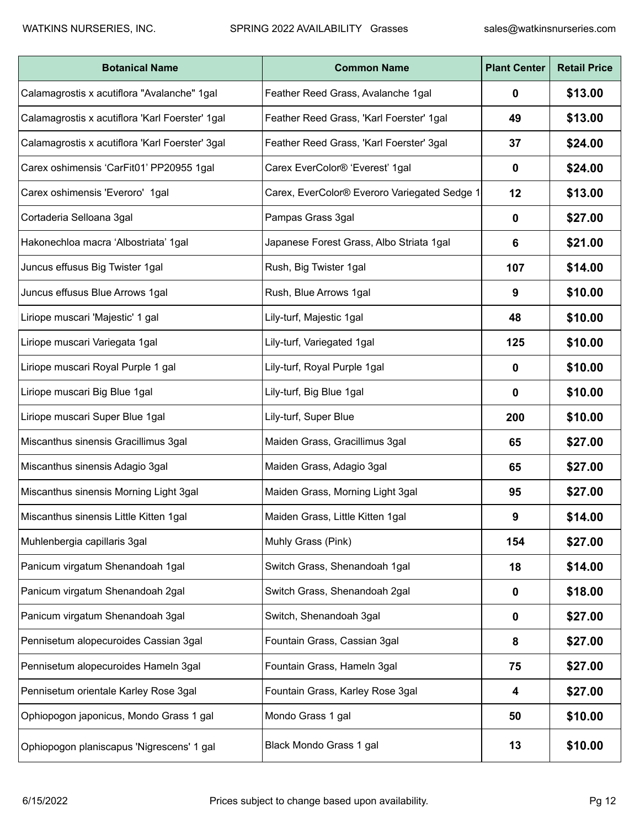| <b>Botanical Name</b>                           | <b>Common Name</b>                           | <b>Plant Center</b> | <b>Retail Price</b> |
|-------------------------------------------------|----------------------------------------------|---------------------|---------------------|
| Calamagrostis x acutiflora "Avalanche" 1gal     | Feather Reed Grass, Avalanche 1gal           | $\mathbf 0$         | \$13.00             |
| Calamagrostis x acutiflora 'Karl Foerster' 1gal | Feather Reed Grass, 'Karl Foerster' 1gal     | 49                  | \$13.00             |
| Calamagrostis x acutiflora 'Karl Foerster' 3gal | Feather Reed Grass, 'Karl Foerster' 3gal     | 37                  | \$24.00             |
| Carex oshimensis 'CarFit01' PP20955 1gal        | Carex EverColor® 'Everest' 1gal              | $\mathbf 0$         | \$24.00             |
| Carex oshimensis 'Everoro' 1gal                 | Carex, EverColor® Everoro Variegated Sedge 1 | 12                  | \$13.00             |
| Cortaderia Selloana 3gal                        | Pampas Grass 3gal                            | 0                   | \$27.00             |
| Hakonechloa macra 'Albostriata' 1gal            | Japanese Forest Grass, Albo Striata 1gal     | 6                   | \$21.00             |
| Juncus effusus Big Twister 1gal                 | Rush, Big Twister 1gal                       | 107                 | \$14.00             |
| Juncus effusus Blue Arrows 1gal                 | Rush, Blue Arrows 1gal                       | 9                   | \$10.00             |
| Liriope muscari 'Majestic' 1 gal                | Lily-turf, Majestic 1gal                     | 48                  | \$10.00             |
| Liriope muscari Variegata 1gal                  | Lily-turf, Variegated 1gal                   | 125                 | \$10.00             |
| Liriope muscari Royal Purple 1 gal              | Lily-turf, Royal Purple 1gal                 | $\mathbf 0$         | \$10.00             |
| Liriope muscari Big Blue 1gal                   | Lily-turf, Big Blue 1gal                     | $\mathbf 0$         | \$10.00             |
| Liriope muscari Super Blue 1gal                 | Lily-turf, Super Blue                        | 200                 | \$10.00             |
| Miscanthus sinensis Gracillimus 3gal            | Maiden Grass, Gracillimus 3gal               | 65                  | \$27.00             |
| Miscanthus sinensis Adagio 3gal                 | Maiden Grass, Adagio 3gal                    | 65                  | \$27.00             |
| Miscanthus sinensis Morning Light 3gal          | Maiden Grass, Morning Light 3gal             | 95                  | \$27.00             |
| Miscanthus sinensis Little Kitten 1gal          | Maiden Grass, Little Kitten 1gal             | 9                   | \$14.00             |
| Muhlenbergia capillaris 3gal                    | Muhly Grass (Pink)                           | 154                 | \$27.00             |
| Panicum virgatum Shenandoah 1gal                | Switch Grass, Shenandoah 1gal                | 18                  | \$14.00             |
| Panicum virgatum Shenandoah 2gal                | Switch Grass, Shenandoah 2gal                | $\mathbf 0$         | \$18.00             |
| Panicum virgatum Shenandoah 3gal                | Switch, Shenandoah 3gal                      | $\mathbf 0$         | \$27.00             |
| Pennisetum alopecuroides Cassian 3gal           | Fountain Grass, Cassian 3gal                 | 8                   | \$27.00             |
| Pennisetum alopecuroides Hameln 3gal            | Fountain Grass, Hameln 3gal                  | 75                  | \$27.00             |
| Pennisetum orientale Karley Rose 3gal           | Fountain Grass, Karley Rose 3gal             | 4                   | \$27.00             |
| Ophiopogon japonicus, Mondo Grass 1 gal         | Mondo Grass 1 gal                            | 50                  | \$10.00             |
| Ophiopogon planiscapus 'Nigrescens' 1 gal       | Black Mondo Grass 1 gal                      | 13                  | \$10.00             |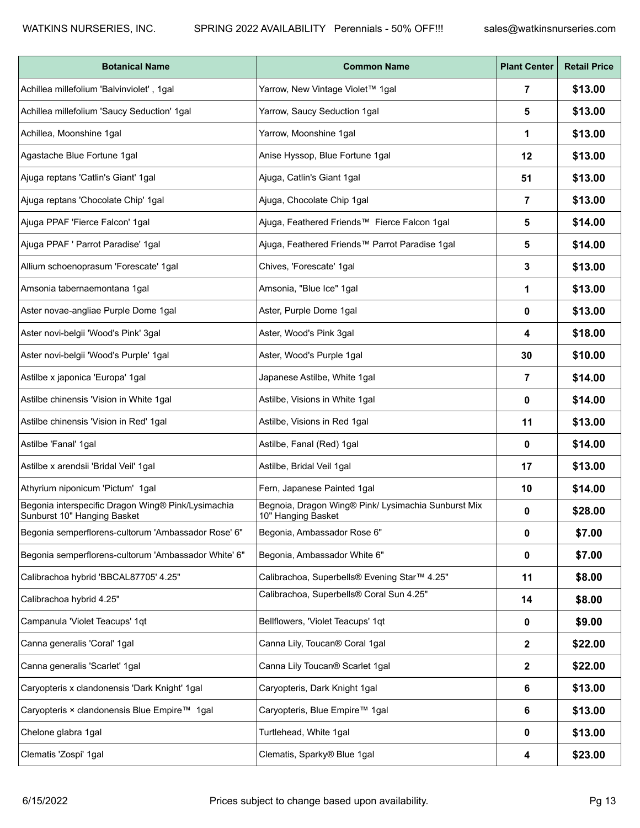| <b>Botanical Name</b>                                                             | <b>Common Name</b>                                                        | <b>Plant Center</b> | <b>Retail Price</b> |
|-----------------------------------------------------------------------------------|---------------------------------------------------------------------------|---------------------|---------------------|
| Achillea millefolium 'Balvinviolet', 1gal                                         | Yarrow, New Vintage Violet™ 1gal                                          | 7                   | \$13.00             |
| Achillea millefolium 'Saucy Seduction' 1gal                                       | Yarrow, Saucy Seduction 1gal                                              | 5                   | \$13.00             |
| Achillea, Moonshine 1gal                                                          | Yarrow, Moonshine 1gal                                                    | 1                   | \$13.00             |
| Agastache Blue Fortune 1gal                                                       | Anise Hyssop, Blue Fortune 1gal                                           | 12                  | \$13.00             |
| Ajuga reptans 'Catlin's Giant' 1gal                                               | Ajuga, Catlin's Giant 1gal                                                | 51                  | \$13.00             |
| Ajuga reptans 'Chocolate Chip' 1gal                                               | Ajuga, Chocolate Chip 1gal                                                | $\overline{7}$      | \$13.00             |
| Ajuga PPAF 'Fierce Falcon' 1gal                                                   | Ajuga, Feathered Friends™ Fierce Falcon 1gal                              | 5                   | \$14.00             |
| Ajuga PPAF ' Parrot Paradise' 1gal                                                | Ajuga, Feathered Friends™ Parrot Paradise 1gal                            | 5                   | \$14.00             |
| Allium schoenoprasum 'Forescate' 1gal                                             | Chives, 'Forescate' 1gal                                                  | 3                   | \$13.00             |
| Amsonia tabernaemontana 1gal                                                      | Amsonia, "Blue Ice" 1gal                                                  | 1                   | \$13.00             |
| Aster novae-angliae Purple Dome 1gal                                              | Aster, Purple Dome 1gal                                                   | 0                   | \$13.00             |
| Aster novi-belgii 'Wood's Pink' 3gal                                              | Aster, Wood's Pink 3gal                                                   | 4                   | \$18.00             |
| Aster novi-belgii 'Wood's Purple' 1gal                                            | Aster, Wood's Purple 1gal                                                 | 30                  | \$10.00             |
| Astilbe x japonica 'Europa' 1gal                                                  | Japanese Astilbe, White 1gal                                              | 7                   | \$14.00             |
| Astilbe chinensis 'Vision in White 1gal                                           | Astilbe, Visions in White 1gal                                            | 0                   | \$14.00             |
| Astilbe chinensis 'Vision in Red' 1gal                                            | Astilbe, Visions in Red 1gal                                              | 11                  | \$13.00             |
| Astilbe 'Fanal' 1gal                                                              | Astilbe, Fanal (Red) 1gal                                                 | 0                   | \$14.00             |
| Astilbe x arendsii 'Bridal Veil' 1gal                                             | Astilbe, Bridal Veil 1gal                                                 | 17                  | \$13.00             |
| Athyrium niponicum 'Pictum' 1gal                                                  | Fern, Japanese Painted 1gal                                               | 10                  | \$14.00             |
| Begonia interspecific Dragon Wing® Pink/Lysimachia<br>Sunburst 10" Hanging Basket | Begnoia, Dragon Wing® Pink/ Lysimachia Sunburst Mix<br>10" Hanging Basket | 0                   | \$28.00             |
| Begonia semperflorens-cultorum 'Ambassador Rose' 6"                               | Begonia, Ambassador Rose 6"                                               | 0                   | \$7.00              |
| Begonia semperflorens-cultorum 'Ambassador White' 6"                              | Begonia, Ambassador White 6"                                              | 0                   | \$7.00              |
| Calibrachoa hybrid 'BBCAL87705' 4.25"                                             | Calibrachoa, Superbells® Evening Star™ 4.25"                              | 11                  | \$8.00              |
| Calibrachoa hybrid 4.25"                                                          | Calibrachoa, Superbells® Coral Sun 4.25"                                  | 14                  | \$8.00              |
| Campanula 'Violet Teacups' 1qt                                                    | Bellflowers, 'Violet Teacups' 1qt                                         | 0                   | \$9.00              |
| Canna generalis 'Coral' 1gal                                                      | Canna Lily, Toucan® Coral 1gal                                            | $\mathbf{2}$        | \$22.00             |
| Canna generalis 'Scarlet' 1gal                                                    | Canna Lily Toucan® Scarlet 1gal                                           | 2                   | \$22.00             |
| Caryopteris x clandonensis 'Dark Knight' 1gal                                     | Caryopteris, Dark Knight 1gal                                             | 6                   | \$13.00             |
| Caryopteris × clandonensis Blue Empire™ 1gal                                      | Caryopteris, Blue Empire™ 1gal                                            | 6                   | \$13.00             |
| Chelone glabra 1gal                                                               | Turtlehead, White 1gal                                                    | 0                   | \$13.00             |
| Clematis 'Zospi' 1gal                                                             | Clematis, Sparky® Blue 1gal                                               | 4                   | \$23.00             |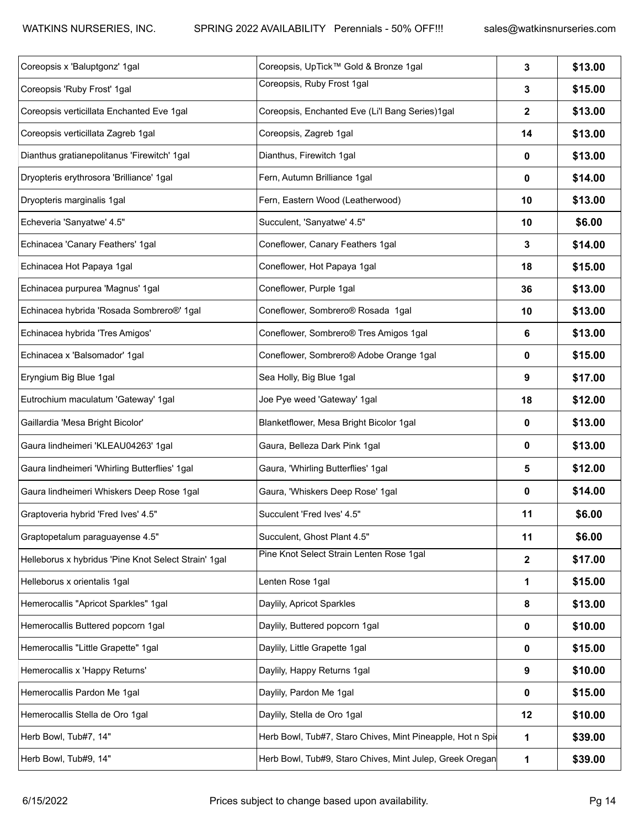| Coreopsis x 'Baluptgonz' 1gal                        | Coreopsis, UpTick™ Gold & Bronze 1gal                      | $\mathbf{3}$ | \$13.00 |
|------------------------------------------------------|------------------------------------------------------------|--------------|---------|
| Coreopsis 'Ruby Frost' 1gal                          | Coreopsis, Ruby Frost 1gal                                 | 3            | \$15.00 |
| Coreopsis verticillata Enchanted Eve 1gal            | Coreopsis, Enchanted Eve (Li'l Bang Series)1gal            | $\mathbf{2}$ | \$13.00 |
| Coreopsis verticillata Zagreb 1gal                   | Coreopsis, Zagreb 1gal                                     | 14           | \$13.00 |
| Dianthus gratianepolitanus 'Firewitch' 1gal          | Dianthus, Firewitch 1gal                                   | 0            | \$13.00 |
| Dryopteris erythrosora 'Brilliance' 1gal             | Fern, Autumn Brilliance 1gal                               | 0            | \$14.00 |
| Dryopteris marginalis 1gal                           | Fern, Eastern Wood (Leatherwood)                           | 10           | \$13.00 |
| Echeveria 'Sanyatwe' 4.5"                            | Succulent, 'Sanyatwe' 4.5"                                 | 10           | \$6.00  |
| Echinacea 'Canary Feathers' 1gal                     | Coneflower, Canary Feathers 1gal                           | 3            | \$14.00 |
| Echinacea Hot Papaya 1gal                            | Coneflower, Hot Papaya 1gal                                | 18           | \$15.00 |
| Echinacea purpurea 'Magnus' 1gal                     | Coneflower, Purple 1gal                                    | 36           | \$13.00 |
| Echinacea hybrida 'Rosada Sombrero®' 1gal            | Coneflower, Sombrero® Rosada 1gal                          | 10           | \$13.00 |
| Echinacea hybrida 'Tres Amigos'                      | Coneflower, Sombrero® Tres Amigos 1gal                     | 6            | \$13.00 |
| Echinacea x 'Balsomador' 1gal                        | Coneflower, Sombrero® Adobe Orange 1gal                    | 0            | \$15.00 |
| Eryngium Big Blue 1gal                               | Sea Holly, Big Blue 1gal                                   | 9            | \$17.00 |
| Eutrochium maculatum 'Gateway' 1gal                  | Joe Pye weed 'Gateway' 1gal                                | 18           | \$12.00 |
| Gaillardia 'Mesa Bright Bicolor'                     | Blanketflower, Mesa Bright Bicolor 1gal                    | 0            | \$13.00 |
| Gaura lindheimeri 'KLEAU04263' 1gal                  | Gaura, Belleza Dark Pink 1gal                              | 0            | \$13.00 |
| Gaura lindheimeri 'Whirling Butterflies' 1gal        | Gaura, 'Whirling Butterflies' 1gal                         | 5            | \$12.00 |
| Gaura lindheimeri Whiskers Deep Rose 1gal            | Gaura, 'Whiskers Deep Rose' 1gal                           | 0            | \$14.00 |
| Graptoveria hybrid 'Fred Ives' 4.5"                  | Succulent 'Fred Ives' 4.5"                                 | 11           | \$6.00  |
| Graptopetalum paraguayense 4.5"                      | Succulent, Ghost Plant 4.5"                                | 11           | \$6.00  |
| Helleborus x hybridus 'Pine Knot Select Strain' 1gal | Pine Knot Select Strain Lenten Rose 1gal                   | $\mathbf{2}$ | \$17.00 |
| Helleborus x orientalis 1gal                         | Lenten Rose 1gal                                           | 1            | \$15.00 |
| Hemerocallis "Apricot Sparkles" 1gal                 | Daylily, Apricot Sparkles                                  | 8            | \$13.00 |
| Hemerocallis Buttered popcorn 1gal                   | Daylily, Buttered popcorn 1gal                             | 0            | \$10.00 |
| Hemerocallis "Little Grapette" 1gal                  | Daylily, Little Grapette 1gal                              | 0            | \$15.00 |
| Hemerocallis x 'Happy Returns'                       | Daylily, Happy Returns 1gal                                | 9            | \$10.00 |
| Hemerocallis Pardon Me 1gal                          | Daylily, Pardon Me 1gal                                    | 0            | \$15.00 |
| Hemerocallis Stella de Oro 1gal                      | Daylily, Stella de Oro 1gal                                | 12           | \$10.00 |
| Herb Bowl, Tub#7, 14"                                | Herb Bowl, Tub#7, Staro Chives, Mint Pineapple, Hot n Spid | 1            | \$39.00 |
| Herb Bowl, Tub#9, 14"                                | Herb Bowl, Tub#9, Staro Chives, Mint Julep, Greek Oregan   | $\mathbf{1}$ | \$39.00 |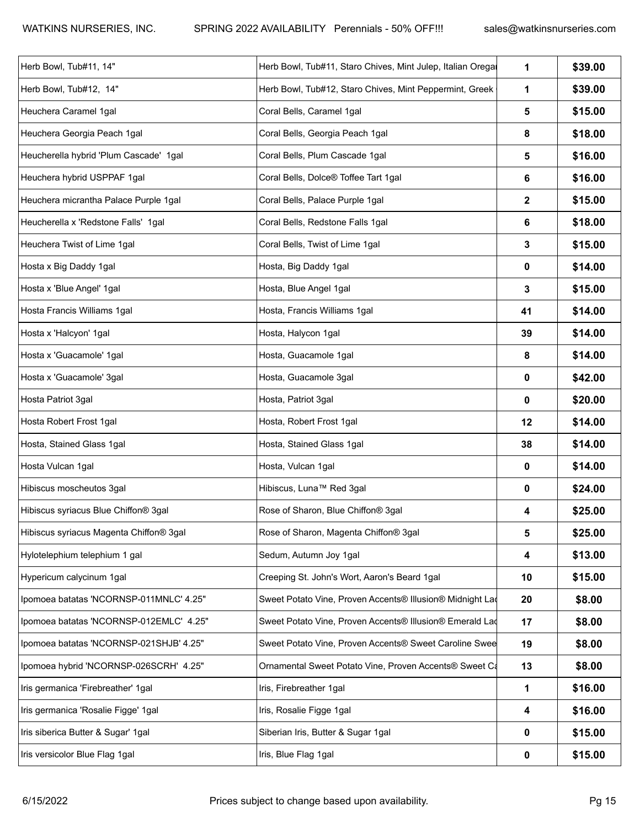| Herb Bowl, Tub#11, 14"                  | Herb Bowl, Tub#11, Staro Chives, Mint Julep, Italian Oregal | $\mathbf 1$  | \$39.00 |
|-----------------------------------------|-------------------------------------------------------------|--------------|---------|
| Herb Bowl, Tub#12, 14"                  | Herb Bowl, Tub#12, Staro Chives, Mint Peppermint, Greek     | $\mathbf 1$  |         |
| Heuchera Caramel 1gal                   | Coral Bells, Caramel 1gal                                   | 5            | \$15.00 |
| Heuchera Georgia Peach 1gal             | Coral Bells, Georgia Peach 1gal                             | 8            | \$18.00 |
| Heucherella hybrid 'Plum Cascade' 1gal  | Coral Bells, Plum Cascade 1gal                              | 5            | \$16.00 |
| Heuchera hybrid USPPAF 1gal             | Coral Bells, Dolce® Toffee Tart 1gal                        | 6            | \$16.00 |
| Heuchera micrantha Palace Purple 1gal   | Coral Bells, Palace Purple 1gal                             | $\mathbf{2}$ | \$15.00 |
| Heucherella x 'Redstone Falls' 1gal     | Coral Bells, Redstone Falls 1gal                            | 6            | \$18.00 |
| Heuchera Twist of Lime 1gal             | Coral Bells, Twist of Lime 1gal                             | $\mathbf{3}$ | \$15.00 |
| Hosta x Big Daddy 1gal                  | Hosta, Big Daddy 1gal                                       | 0            | \$14.00 |
| Hosta x 'Blue Angel' 1gal               | Hosta, Blue Angel 1gal                                      | $\mathbf{3}$ | \$15.00 |
| Hosta Francis Williams 1gal             | Hosta, Francis Williams 1gal                                | 41           | \$14.00 |
| Hosta x 'Halcyon' 1gal                  | Hosta, Halycon 1gal                                         | 39           | \$14.00 |
| Hosta x 'Guacamole' 1gal                | Hosta, Guacamole 1gal                                       | 8            | \$14.00 |
| Hosta x 'Guacamole' 3gal                | Hosta, Guacamole 3gal                                       | 0            | \$42.00 |
| Hosta Patriot 3gal                      | Hosta, Patriot 3gal                                         | 0            | \$20.00 |
| Hosta Robert Frost 1gal                 | Hosta, Robert Frost 1gal                                    | 12           | \$14.00 |
| Hosta, Stained Glass 1gal               | Hosta, Stained Glass 1gal                                   | 38           | \$14.00 |
| Hosta Vulcan 1gal                       | Hosta, Vulcan 1gal                                          | 0            | \$14.00 |
| Hibiscus moscheutos 3gal                | Hibiscus, Luna™ Red 3gal                                    | 0            | \$24.00 |
| Hibiscus syriacus Blue Chiffon® 3gal    | Rose of Sharon, Blue Chiffon® 3gal                          | 4            | \$25.00 |
| Hibiscus syriacus Magenta Chiffon® 3gal | Rose of Sharon, Magenta Chiffon® 3gal                       | 5            | \$25.00 |
| Hylotelephium telephium 1 gal           | Sedum, Autumn Joy 1gal                                      | 4            | \$13.00 |
| Hypericum calycinum 1gal                | Creeping St. John's Wort, Aaron's Beard 1gal                | 10           | \$15.00 |
| Ipomoea batatas 'NCORNSP-011MNLC' 4.25" | Sweet Potato Vine, Proven Accents® Illusion® Midnight Lad   | 20           | \$8.00  |
| Ipomoea batatas 'NCORNSP-012EMLC' 4.25" | Sweet Potato Vine, Proven Accents® Illusion® Emerald Lad    | 17           | \$8.00  |
| Ipomoea batatas 'NCORNSP-021SHJB' 4.25" | Sweet Potato Vine, Proven Accents® Sweet Caroline Swee      | 19           | \$8.00  |
| Ipomoea hybrid 'NCORNSP-026SCRH' 4.25"  | Ornamental Sweet Potato Vine, Proven Accents® Sweet Ca      | 13           | \$8.00  |
| Iris germanica 'Firebreather' 1gal      | Iris, Firebreather 1gal                                     | $\mathbf{1}$ | \$16.00 |
| Iris germanica 'Rosalie Figge' 1gal     | Iris, Rosalie Figge 1gal                                    | 4            | \$16.00 |
| Iris siberica Butter & Sugar' 1gal      | Siberian Iris, Butter & Sugar 1gal                          | $\mathbf 0$  | \$15.00 |
| Iris versicolor Blue Flag 1gal          | Iris, Blue Flag 1gal                                        | 0            | \$15.00 |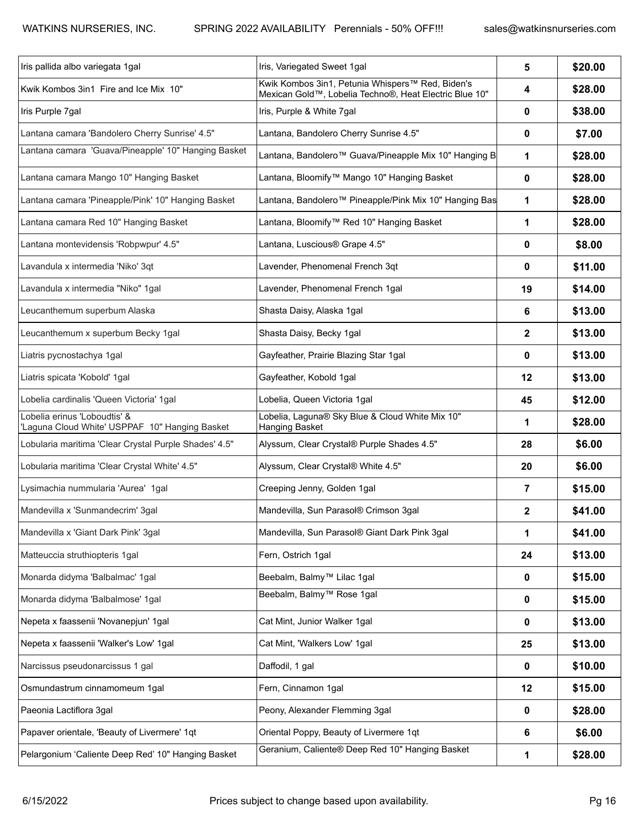| Iris pallida albo variegata 1gal                                               | Iris, Variegated Sweet 1gal                                                                                | 5              | \$20.00 |
|--------------------------------------------------------------------------------|------------------------------------------------------------------------------------------------------------|----------------|---------|
| Kwik Kombos 3in1 Fire and Ice Mix 10"                                          | Kwik Kombos 3in1, Petunia Whispers™ Red, Biden's<br>Mexican Gold™, Lobelia Techno®, Heat Electric Blue 10" | 4              | \$28.00 |
| Iris Purple 7gal                                                               | Iris, Purple & White 7gal                                                                                  | 0              | \$38.00 |
| Lantana camara 'Bandolero Cherry Sunrise' 4.5"                                 | Lantana, Bandolero Cherry Sunrise 4.5"                                                                     | 0              | \$7.00  |
| Lantana camara 'Guava/Pineapple' 10" Hanging Basket                            | Lantana, Bandolero™ Guava/Pineapple Mix 10" Hanging B                                                      | 1              | \$28.00 |
| Lantana camara Mango 10" Hanging Basket                                        | Lantana, Bloomify™ Mango 10" Hanging Basket                                                                | 0              | \$28.00 |
| Lantana camara 'Pineapple/Pink' 10" Hanging Basket                             | Lantana, Bandolero™ Pineapple/Pink Mix 10" Hanging Bas                                                     | 1              | \$28.00 |
| Lantana camara Red 10" Hanging Basket                                          | Lantana, Bloomify™ Red 10" Hanging Basket                                                                  | 1              | \$28.00 |
| Lantana montevidensis 'Robpwpur' 4.5"                                          | Lantana, Luscious® Grape 4.5"                                                                              | 0              | \$8.00  |
| Lavandula x intermedia 'Niko' 3qt                                              | Lavender, Phenomenal French 3qt                                                                            | 0              | \$11.00 |
| Lavandula x intermedia "Niko" 1gal                                             | Lavender, Phenomenal French 1gal                                                                           | 19             | \$14.00 |
| Leucanthemum superbum Alaska                                                   | Shasta Daisy, Alaska 1gal                                                                                  | 6              | \$13.00 |
| Leucanthemum x superbum Becky 1gal                                             | Shasta Daisy, Becky 1gal                                                                                   | $\mathbf{2}$   | \$13.00 |
| Liatris pycnostachya 1gal                                                      | Gayfeather, Prairie Blazing Star 1gal                                                                      | 0              | \$13.00 |
| Liatris spicata 'Kobold' 1gal                                                  | Gayfeather, Kobold 1gal                                                                                    | 12             | \$13.00 |
| Lobelia cardinalis 'Queen Victoria' 1gal                                       | Lobelia, Queen Victoria 1gal                                                                               | 45             | \$12.00 |
| Lobelia erinus 'Loboudtis' &<br>'Laguna Cloud White' USPPAF 10" Hanging Basket | Lobelia, Laguna® Sky Blue & Cloud White Mix 10"<br>Hanging Basket                                          | 1              | \$28.00 |
| Lobularia maritima 'Clear Crystal Purple Shades' 4.5"                          | Alyssum, Clear Crystal® Purple Shades 4.5"                                                                 | 28             | \$6.00  |
| Lobularia maritima 'Clear Crystal White' 4.5"                                  | Alyssum, Clear Crystal® White 4.5"                                                                         | 20             | \$6.00  |
| Lysimachia nummularia 'Aurea' 1gal                                             | Creeping Jenny, Golden 1gal                                                                                | $\overline{7}$ | \$15.00 |
| Mandevilla x 'Sunmandecrim' 3gal                                               | Mandevilla, Sun Parasol® Crimson 3gal                                                                      | $\mathbf{2}$   | \$41.00 |
| Mandevilla x 'Giant Dark Pink' 3gal                                            | Mandevilla, Sun Parasol® Giant Dark Pink 3gal                                                              | 1              | \$41.00 |
| Matteuccia struthiopteris 1gal                                                 | Fern, Ostrich 1gal                                                                                         | 24             | \$13.00 |
| Monarda didyma 'Balbalmac' 1gal                                                | Beebalm, Balmy <sup>™</sup> Lilac 1gal                                                                     | $\mathbf 0$    | \$15.00 |
| Monarda didyma 'Balbalmose' 1gal                                               | Beebalm, Balmy <sup>™</sup> Rose 1gal                                                                      | 0              | \$15.00 |
| Nepeta x faassenii 'Novanepjun' 1gal                                           | Cat Mint, Junior Walker 1gal                                                                               | 0              | \$13.00 |
| Nepeta x faassenii 'Walker's Low' 1gal                                         | Cat Mint, 'Walkers Low' 1gal                                                                               | 25             | \$13.00 |
| Narcissus pseudonarcissus 1 gal                                                | Daffodil, 1 gal                                                                                            | 0              | \$10.00 |
| Osmundastrum cinnamomeum 1gal                                                  | Fern, Cinnamon 1gal                                                                                        | 12             | \$15.00 |
| Paeonia Lactiflora 3gal                                                        | Peony, Alexander Flemming 3gal                                                                             | 0              | \$28.00 |
| Papaver orientale, 'Beauty of Livermere' 1qt                                   | Oriental Poppy, Beauty of Livermere 1qt                                                                    | 6              | \$6.00  |
| Pelargonium 'Caliente Deep Red' 10" Hanging Basket                             | Geranium, Caliente® Deep Red 10" Hanging Basket                                                            | 1              | \$28.00 |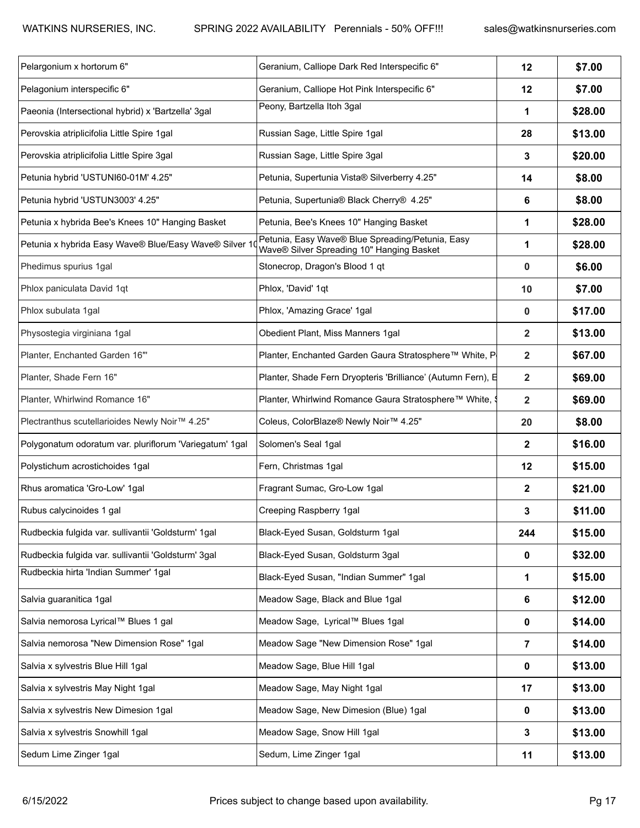| Pelargonium x hortorum 6"                               | Geranium, Calliope Dark Red Interspecific 6"                                                  | 12             | \$7.00  |
|---------------------------------------------------------|-----------------------------------------------------------------------------------------------|----------------|---------|
| Pelagonium interspecific 6"                             | Geranium, Calliope Hot Pink Interspecific 6"                                                  | 12             | \$7.00  |
| Paeonia (Intersectional hybrid) x 'Bartzella' 3gal      | Peony, Bartzella Itoh 3gal                                                                    | $\mathbf 1$    | \$28.00 |
| Perovskia atriplicifolia Little Spire 1gal              | Russian Sage, Little Spire 1gal                                                               | 28             | \$13.00 |
| Perovskia atriplicifolia Little Spire 3gal              | Russian Sage, Little Spire 3gal                                                               | $\mathbf{3}$   | \$20.00 |
| Petunia hybrid 'USTUNI60-01M' 4.25"                     | Petunia, Supertunia Vista® Silverberry 4.25"                                                  | 14             | \$8.00  |
| Petunia hybrid 'USTUN3003' 4.25"                        | Petunia, Supertunia® Black Cherry® 4.25"                                                      | 6              | \$8.00  |
| Petunia x hybrida Bee's Knees 10" Hanging Basket        | Petunia, Bee's Knees 10" Hanging Basket                                                       | 1              | \$28.00 |
| Petunia x hybrida Easy Wave® Blue/Easy Wave® Silver     | Petunia, Easy Wave® Blue Spreading/Petunia, Easy<br>Wave® Silver Spreading 10" Hanging Basket | $\mathbf 1$    | \$28.00 |
| Phedimus spurius 1gal                                   | Stonecrop, Dragon's Blood 1 qt                                                                | $\mathbf 0$    | \$6.00  |
| Phlox paniculata David 1qt                              | Phlox, 'David' 1qt                                                                            | 10             | \$7.00  |
| Phlox subulata 1gal                                     | Phlox, 'Amazing Grace' 1gal                                                                   | $\mathbf 0$    | \$17.00 |
| Physostegia virginiana 1gal                             | Obedient Plant, Miss Manners 1gal                                                             | $\overline{2}$ | \$13.00 |
| Planter, Enchanted Garden 16"                           | Planter, Enchanted Garden Gaura Stratosphere™ White, P                                        | $\overline{2}$ | \$67.00 |
| Planter, Shade Fern 16"                                 | Planter, Shade Fern Dryopteris 'Brilliance' (Autumn Fern), 日                                  | $\overline{2}$ | \$69.00 |
| Planter, Whirlwind Romance 16"                          | Planter, Whirlwind Romance Gaura Stratosphere™ White, 9                                       | $\overline{2}$ | \$69.00 |
| Plectranthus scutellarioides Newly Noir™ 4.25"          | Coleus, ColorBlaze® Newly Noir™ 4.25"                                                         | 20             | \$8.00  |
| Polygonatum odoratum var. pluriflorum 'Variegatum' 1gal | Solomen's Seal 1gal                                                                           | $\overline{2}$ | \$16.00 |
| Polystichum acrostichoides 1gal                         | Fern, Christmas 1gal                                                                          | 12             | \$15.00 |
| Rhus aromatica 'Gro-Low' 1gal                           | Fragrant Sumac, Gro-Low 1gal                                                                  | $\mathbf{2}$   | \$21.00 |
| Rubus calycinoides 1 gal                                | Creeping Raspberry 1gal                                                                       | 3              | \$11.00 |
| Rudbeckia fulgida var. sullivantii 'Goldsturm' 1gal     | Black-Eyed Susan, Goldsturm 1gal                                                              | 244            | \$15.00 |
| Rudbeckia fulgida var. sullivantii 'Goldsturm' 3gal     | Black-Eyed Susan, Goldsturm 3gal                                                              | 0              | \$32.00 |
| Rudbeckia hirta 'Indian Summer' 1gal                    | Black-Eyed Susan, "Indian Summer" 1gal                                                        | $\mathbf{1}$   | \$15.00 |
| Salvia guaranitica 1gal                                 | Meadow Sage, Black and Blue 1gal                                                              | 6              | \$12.00 |
| Salvia nemorosa Lyrical™ Blues 1 gal                    | Meadow Sage, Lyrical™ Blues 1gal                                                              | $\mathbf 0$    | \$14.00 |
| Salvia nemorosa "New Dimension Rose" 1gal               | Meadow Sage "New Dimension Rose" 1gal                                                         | $\overline{7}$ | \$14.00 |
| Salvia x sylvestris Blue Hill 1gal                      | Meadow Sage, Blue Hill 1gal                                                                   | $\mathbf 0$    | \$13.00 |
| Salvia x sylvestris May Night 1gal                      | Meadow Sage, May Night 1gal                                                                   | 17             | \$13.00 |
| Salvia x sylvestris New Dimesion 1gal                   | Meadow Sage, New Dimesion (Blue) 1gal                                                         | $\mathbf 0$    | \$13.00 |
| Salvia x sylvestris Snowhill 1gal                       | Meadow Sage, Snow Hill 1gal                                                                   | $\mathbf{3}$   | \$13.00 |
| Sedum Lime Zinger 1gal                                  | Sedum, Lime Zinger 1gal                                                                       | 11             | \$13.00 |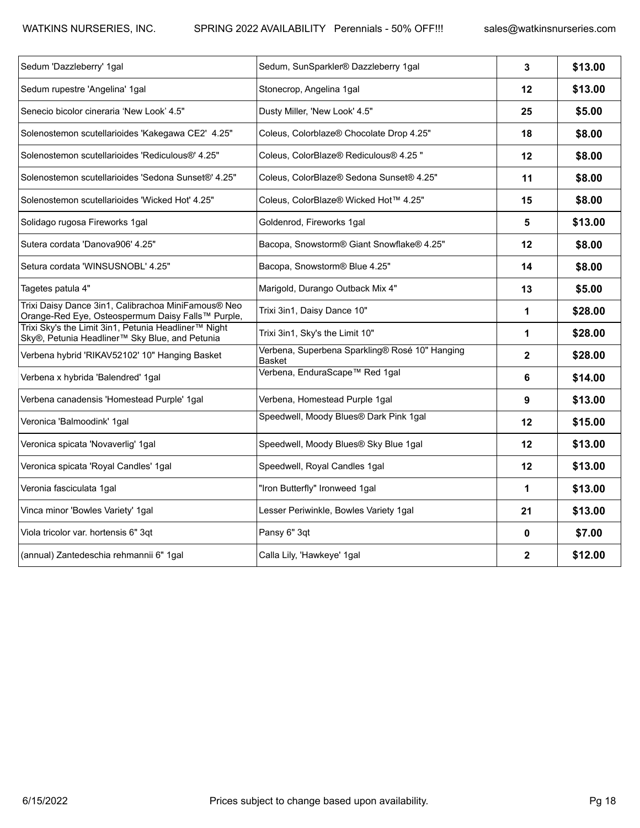| Sedum 'Dazzleberry' 1gal                                                                                 | Sedum, SunSparkler® Dazzleberry 1gal                     | 3                       | \$13.00 |
|----------------------------------------------------------------------------------------------------------|----------------------------------------------------------|-------------------------|---------|
| Sedum rupestre 'Angelina' 1gal                                                                           | Stonecrop, Angelina 1gal                                 | 12                      | \$13.00 |
| Senecio bicolor cineraria 'New Look' 4.5"                                                                | Dusty Miller, 'New Look' 4.5"                            | 25                      | \$5.00  |
| Solenostemon scutellarioides 'Kakegawa CE2' 4.25"                                                        | Coleus, Colorblaze® Chocolate Drop 4.25"                 | 18                      | \$8.00  |
| Solenostemon scutellarioides 'Rediculous®' 4.25"                                                         | Coleus, ColorBlaze® Rediculous® 4.25 "                   | $12 \,$                 | \$8.00  |
| Solenostemon scutellarioides 'Sedona Sunset®' 4.25"                                                      | Coleus, ColorBlaze® Sedona Sunset® 4.25"                 | 11                      | \$8.00  |
| Solenostemon scutellarioides 'Wicked Hot' 4.25"                                                          | Coleus, ColorBlaze® Wicked Hot™ 4.25"                    | 15                      | \$8.00  |
| Solidago rugosa Fireworks 1gal                                                                           | Goldenrod, Fireworks 1gal                                | 5                       | \$13.00 |
| Sutera cordata 'Danova906' 4.25"                                                                         | Bacopa, Snowstorm® Giant Snowflake® 4.25"                | 12                      | \$8.00  |
| Setura cordata 'WINSUSNOBL' 4.25"                                                                        | Bacopa, Snowstorm® Blue 4.25"                            | 14                      | \$8.00  |
| Tagetes patula 4"                                                                                        | Marigold, Durango Outback Mix 4"                         | 13                      | \$5.00  |
| Trixi Daisy Dance 3in1, Calibrachoa MiniFamous® Neo<br>Orange-Red Eye, Osteospermum Daisy Falls™ Purple, | Trixi 3in1, Daisy Dance 10"                              | 1                       | \$28.00 |
| Trixi Sky's the Limit 3in1, Petunia Headliner™ Night<br>Sky®, Petunia Headliner™ Sky Blue, and Petunia   | Trixi 3in1, Sky's the Limit 10"                          | 1                       | \$28.00 |
| Verbena hybrid 'RIKAV52102' 10" Hanging Basket                                                           | Verbena, Superbena Sparkling® Rosé 10" Hanging<br>Basket | $\overline{\mathbf{2}}$ | \$28.00 |
| Verbena x hybrida 'Balendred' 1gal                                                                       | Verbena, EnduraScape™ Red 1gal                           | 6                       | \$14.00 |
| Verbena canadensis 'Homestead Purple' 1gal                                                               | Verbena, Homestead Purple 1gal                           | 9                       | \$13.00 |
| Veronica 'Balmoodink' 1gal                                                                               | Speedwell, Moody Blues® Dark Pink 1gal                   | 12                      | \$15.00 |
| Veronica spicata 'Novaverlig' 1gal                                                                       | Speedwell, Moody Blues® Sky Blue 1gal                    | 12                      | \$13.00 |
| Veronica spicata 'Royal Candles' 1gal                                                                    | Speedwell, Royal Candles 1gal                            | 12                      | \$13.00 |
| Veronia fasciculata 1gal                                                                                 | "Iron Butterfly" Ironweed 1gal                           | 1                       | \$13.00 |
| Vinca minor 'Bowles Variety' 1gal                                                                        | Lesser Periwinkle, Bowles Variety 1gal                   | 21                      | \$13.00 |
| Viola tricolor var. hortensis 6" 3qt                                                                     | Pansy 6" 3qt                                             | 0                       | \$7.00  |
| (annual) Zantedeschia rehmannii 6" 1gal                                                                  | Calla Lily, 'Hawkeye' 1gal                               | $\overline{\mathbf{2}}$ | \$12.00 |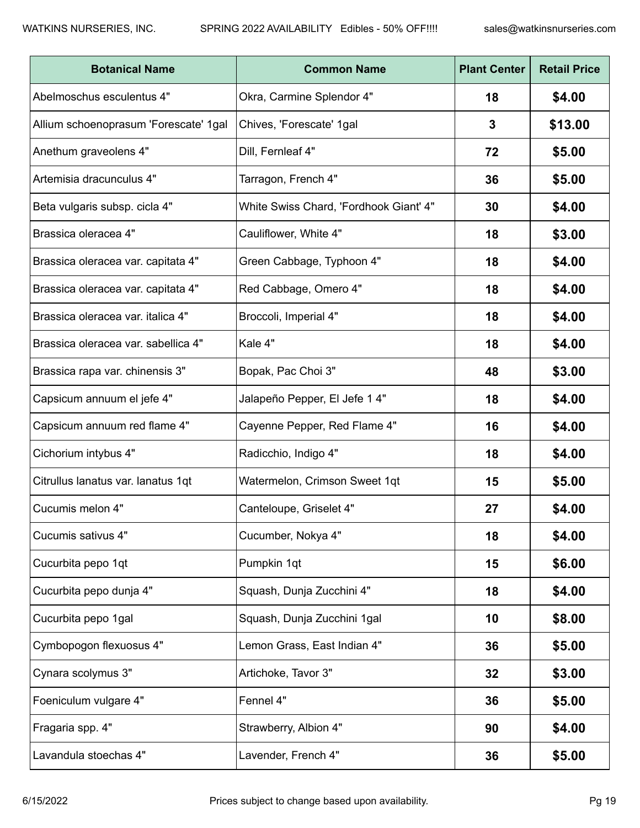| <b>Botanical Name</b>                 | <b>Common Name</b>                     | <b>Plant Center</b> | <b>Retail Price</b> |
|---------------------------------------|----------------------------------------|---------------------|---------------------|
| Abelmoschus esculentus 4"             | Okra, Carmine Splendor 4"              | 18                  | \$4.00              |
| Allium schoenoprasum 'Forescate' 1gal | Chives, 'Forescate' 1gal               | 3                   | \$13.00             |
| Anethum graveolens 4"                 | Dill, Fernleaf 4"                      | 72                  | \$5.00              |
| Artemisia dracunculus 4"              | Tarragon, French 4"                    | 36                  | \$5.00              |
| Beta vulgaris subsp. cicla 4"         | White Swiss Chard, 'Fordhook Giant' 4" | 30                  | \$4.00              |
| Brassica oleracea 4"                  | Cauliflower, White 4"                  | 18                  | \$3.00              |
| Brassica oleracea var. capitata 4"    | Green Cabbage, Typhoon 4"              | 18                  | \$4.00              |
| Brassica oleracea var. capitata 4"    | Red Cabbage, Omero 4"                  | 18                  | \$4.00              |
| Brassica oleracea var. italica 4"     | Broccoli, Imperial 4"                  | 18                  | \$4.00              |
| Brassica oleracea var. sabellica 4"   | Kale 4"                                | 18                  | \$4.00              |
| Brassica rapa var. chinensis 3"       | Bopak, Pac Choi 3"                     | 48                  | \$3.00              |
| Capsicum annuum el jefe 4"            | Jalapeño Pepper, El Jefe 1 4"          | 18                  | \$4.00              |
| Capsicum annuum red flame 4"          | Cayenne Pepper, Red Flame 4"           | 16                  | \$4.00              |
| Cichorium intybus 4"                  | Radicchio, Indigo 4"                   | 18                  | \$4.00              |
| Citrullus lanatus var. lanatus 1qt    | Watermelon, Crimson Sweet 1qt          | 15                  | \$5.00              |
| Cucumis melon 4"                      | Canteloupe, Griselet 4"                | 27                  | \$4.00              |
| Cucumis sativus 4"                    | Cucumber, Nokya 4"                     | 18                  | \$4.00              |
| Cucurbita pepo 1qt                    | Pumpkin 1qt                            | 15                  | \$6.00              |
| Cucurbita pepo dunja 4"               | Squash, Dunja Zucchini 4"              | 18                  | \$4.00              |
| Cucurbita pepo 1gal                   | Squash, Dunja Zucchini 1gal            | 10                  | \$8.00              |
| Cymbopogon flexuosus 4"               | Lemon Grass, East Indian 4"            | 36                  | \$5.00              |
| Cynara scolymus 3"                    | Artichoke, Tavor 3"                    | 32                  | \$3.00              |
| Foeniculum vulgare 4"                 | Fennel 4"                              | 36                  | \$5.00              |
| Fragaria spp. 4"                      | Strawberry, Albion 4"                  | 90                  | \$4.00              |
| Lavandula stoechas 4"                 | Lavender, French 4"                    | 36                  | \$5.00              |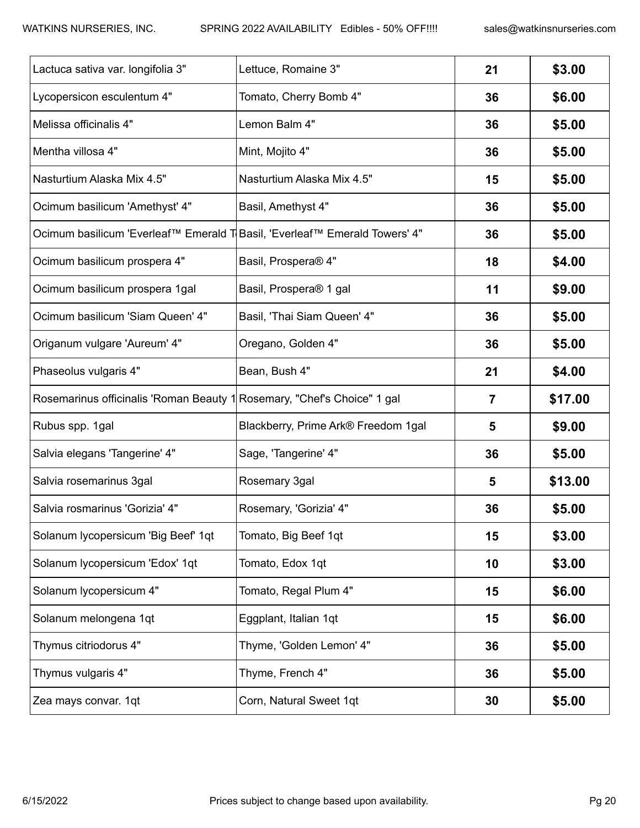| Lactuca sativa var. longifolia 3"                                          | Lettuce, Romaine 3"                 | 21             | \$3.00  |
|----------------------------------------------------------------------------|-------------------------------------|----------------|---------|
| Lycopersicon esculentum 4"                                                 | Tomato, Cherry Bomb 4"              | 36             | \$6.00  |
| Melissa officinalis 4"                                                     | Lemon Balm 4"                       | 36             | \$5.00  |
| Mentha villosa 4"                                                          | Mint, Mojito 4"                     | 36             | \$5.00  |
| Nasturtium Alaska Mix 4.5"                                                 | Nasturtium Alaska Mix 4.5"          | 15             | \$5.00  |
| Ocimum basilicum 'Amethyst' 4"                                             | Basil, Amethyst 4"                  | 36             | \$5.00  |
| Ocimum basilicum 'Everleaf™ Emerald T Basil, 'Everleaf™ Emerald Towers' 4" |                                     | 36             | \$5.00  |
| Ocimum basilicum prospera 4"                                               | Basil, Prospera® 4"                 | 18             | \$4.00  |
| Ocimum basilicum prospera 1gal                                             | Basil, Prospera® 1 gal              | 11             | \$9.00  |
| Ocimum basilicum 'Siam Queen' 4"                                           | Basil, 'Thai Siam Queen' 4"         | 36             | \$5.00  |
| Origanum vulgare 'Aureum' 4"                                               | Oregano, Golden 4"                  | 36             | \$5.00  |
| Phaseolus vulgaris 4"                                                      | Bean, Bush 4"                       | 21             | \$4.00  |
| Rosemarinus officinalis 'Roman Beauty 1 Rosemary, "Chef's Choice" 1 gal    |                                     | $\overline{7}$ | \$17.00 |
| Rubus spp. 1gal                                                            | Blackberry, Prime Ark® Freedom 1gal | 5              | \$9.00  |
| Salvia elegans 'Tangerine' 4"                                              | Sage, 'Tangerine' 4"                | 36             | \$5.00  |
| Salvia rosemarinus 3gal                                                    | Rosemary 3gal                       | 5              | \$13.00 |
| Salvia rosmarinus 'Gorizia' 4"                                             | Rosemary, 'Gorizia' 4"              | 36             | \$5.00  |
| Solanum lycopersicum 'Big Beef' 1qt                                        | Tomato, Big Beef 1qt                | 15             | \$3.00  |
| Solanum lycopersicum 'Edox' 1qt                                            | Tomato, Edox 1qt                    | 10             | \$3.00  |
| Solanum lycopersicum 4"                                                    | Tomato, Regal Plum 4"               | 15             | \$6.00  |
| Solanum melongena 1qt                                                      | Eggplant, Italian 1qt               | 15             | \$6.00  |
| Thymus citriodorus 4"                                                      | Thyme, 'Golden Lemon' 4"            | 36             | \$5.00  |
| Thymus vulgaris 4"                                                         | Thyme, French 4"                    | 36             | \$5.00  |
| Zea mays convar. 1qt                                                       | Corn, Natural Sweet 1qt             | 30             | \$5.00  |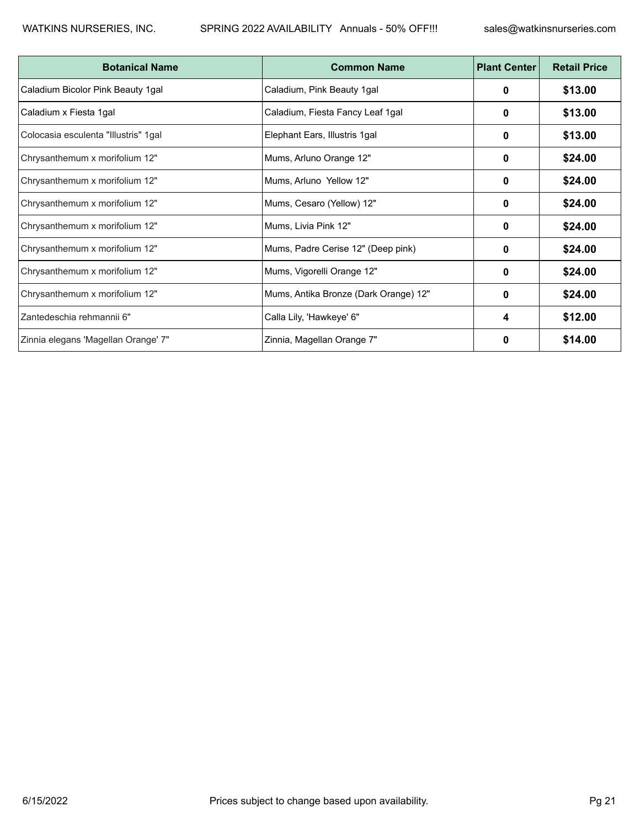| <b>Botanical Name</b>                | <b>Common Name</b>                    | <b>Plant Center</b> | <b>Retail Price</b> |
|--------------------------------------|---------------------------------------|---------------------|---------------------|
| Caladium Bicolor Pink Beauty 1gal    | Caladium, Pink Beauty 1gal            | 0                   | \$13.00             |
| Caladium x Fiesta 1gal               | Caladium, Fiesta Fancy Leaf 1gal      | 0                   | \$13.00             |
| Colocasia esculenta "Illustris" 1gal | Elephant Ears, Illustris 1gal         | 0                   | \$13.00             |
| Chrysanthemum x morifolium 12"       | Mums, Arluno Orange 12"               | 0                   | \$24.00             |
| Chrysanthemum x morifolium 12"       | Mums, Arluno Yellow 12"               | 0                   | \$24.00             |
| Chrysanthemum x morifolium 12"       | Mums, Cesaro (Yellow) 12"             | 0                   | \$24.00             |
| Chrysanthemum x morifolium 12"       | Mums, Livia Pink 12"                  | 0                   | \$24.00             |
| Chrysanthemum x morifolium 12"       | Mums, Padre Cerise 12" (Deep pink)    | $\bf{0}$            | \$24.00             |
| Chrysanthemum x morifolium 12"       | Mums, Vigorelli Orange 12"            | 0                   | \$24.00             |
| Chrysanthemum x morifolium 12"       | Mums, Antika Bronze (Dark Orange) 12" | 0                   | \$24.00             |
| Zantedeschia rehmannii 6"            | Calla Lily, 'Hawkeye' 6"              | 4                   | \$12.00             |
| Zinnia elegans 'Magellan Orange' 7"  | Zinnia, Magellan Orange 7"            | 0                   | \$14.00             |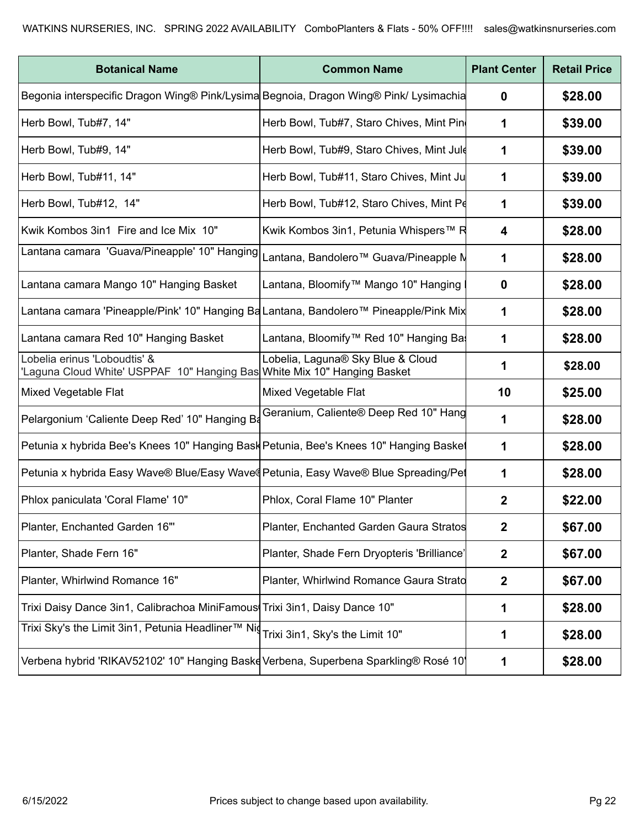| <b>Botanical Name</b>                                                                                    | <b>Common Name</b>                          | <b>Plant Center</b>  | <b>Retail Price</b> |
|----------------------------------------------------------------------------------------------------------|---------------------------------------------|----------------------|---------------------|
| Begonia interspecific Dragon Wing® Pink/Lysima Begnoia, Dragon Wing® Pink/ Lysimachia                    |                                             | $\mathbf 0$          | \$28.00             |
| Herb Bowl, Tub#7, 14"                                                                                    | Herb Bowl, Tub#7, Staro Chives, Mint Pin    | $\mathbf 1$          | \$39.00             |
| Herb Bowl, Tub#9, 14"                                                                                    | Herb Bowl, Tub#9, Staro Chives, Mint Jule   | $\mathbf 1$          | \$39.00             |
| Herb Bowl, Tub#11, 14"                                                                                   | Herb Bowl, Tub#11, Staro Chives, Mint Ju    | $\mathbf 1$          | \$39.00             |
| Herb Bowl, Tub#12, 14"                                                                                   | Herb Bowl, Tub#12, Staro Chives, Mint Pe    | $\mathbf 1$          | \$39.00             |
| Kwik Kombos 3in1 Fire and Ice Mix 10"                                                                    | Kwik Kombos 3in1, Petunia Whispers™ R       | 4                    | \$28.00             |
| <br> Lantana camara 'Guava/Pineapple' 10" Hanging   Lantana, Bandolero™ Guava/Pineapple N                |                                             | $\mathbf 1$          | \$28.00             |
| Lantana camara Mango 10" Hanging Basket                                                                  | Lantana, Bloomify™ Mango 10" Hanging        | $\mathbf 0$          | \$28.00             |
| Lantana camara 'Pineapple/Pink' 10" Hanging Ba Lantana, Bandolero™ Pineapple/Pink Mix                    |                                             | $\mathbf 1$          | \$28.00             |
| Lantana camara Red 10" Hanging Basket                                                                    | Lantana, Bloomify™ Red 10" Hanging Ba       | $\blacktriangleleft$ | \$28.00             |
| Lobelia erinus 'Loboudtis' &<br>'Laguna Cloud White' USPPAF 10" Hanging Bas White Mix 10" Hanging Basket | Lobelia, Laguna® Sky Blue & Cloud           | $\mathbf 1$          | \$28.00             |
| Mixed Vegetable Flat                                                                                     | Mixed Vegetable Flat                        | 10                   | \$25.00             |
| Pelargonium 'Caliente Deep Red' 10" Hanging Ba                                                           | Geranium, Caliente® Deep Red 10" Hang       | $\mathbf 1$          | \$28.00             |
| Petunia x hybrida Bee's Knees 10" Hanging Bask Petunia, Bee's Knees 10" Hanging Basket                   |                                             | $\mathbf 1$          | \$28.00             |
| Petunia x hybrida Easy Wave® Blue/Easy Waved Petunia, Easy Wave® Blue Spreading/Pet                      |                                             | $\mathbf 1$          | \$28.00             |
| Phlox paniculata 'Coral Flame' 10"                                                                       | Phlox, Coral Flame 10" Planter              | $\mathbf{2}$         | \$22.00             |
| Planter, Enchanted Garden 16"                                                                            | Planter, Enchanted Garden Gaura Stratos     | $\mathbf{2}$         | \$67.00             |
| Planter, Shade Fern 16"                                                                                  | Planter, Shade Fern Dryopteris 'Brilliance' | $\boldsymbol{2}$     | \$67.00             |
| Planter, Whirlwind Romance 16"                                                                           | Planter, Whirlwind Romance Gaura Stratd     | $\mathbf{2}$         | \$67.00             |
| Trixi Daisy Dance 3in1, Calibrachoa MiniFamous Trixi 3in1, Daisy Dance 10"                               |                                             | $\mathbf 1$          | \$28.00             |
| Trixi Sky's the Limit 3in1, Petunia Headliner <sup>™</sup> Niq Trixi 3in1, Sky's the Limit 10"           |                                             | $\mathbf 1$          | \$28.00             |
| Verbena hybrid 'RIKAV52102' 10" Hanging Baske Verbena, Superbena Sparkling® Rosé 10                      |                                             | $\mathbf 1$          | \$28.00             |